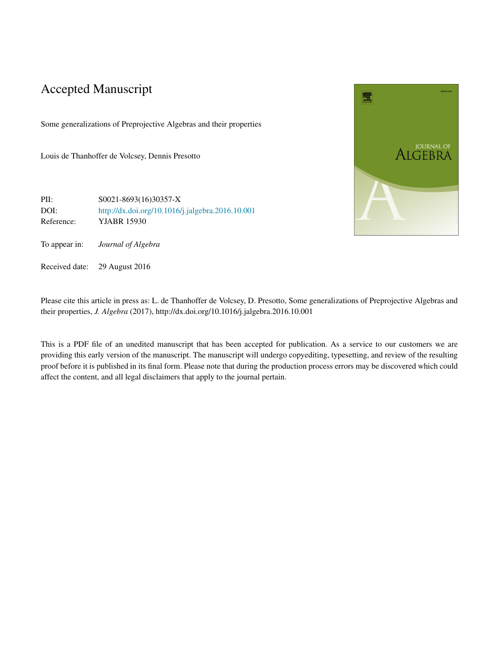# Accepted Manuscript

Some generalizations of Preprojective Algebras and their properties

Louis de Thanhoffer de Volcsey, Dennis Presotto

PII: S0021-8693(16)30357-X DOI: <http://dx.doi.org/10.1016/j.jalgebra.2016.10.001> Reference: YJABR 15930

To appear in: *Journal of Algebra*

Received date: 29 August 2016

Please cite this article in press as: L. de Thanhoffer de Volcsey, D. Presotto, Some generalizations of Preprojective Algebras and their properties, *J. Algebra* (2017), http://dx.doi.org/10.1016/j.jalgebra.2016.10.001

This is a PDF file of an unedited manuscript that has been accepted for publication. As a service to our customers we are providing this early version of the manuscript. The manuscript will undergo copyediting, typesetting, and review of the resulting proof before it is published in its final form. Please note that during the production process errors may be discovered which could affect the content, and all legal disclaimers that apply to the journal pertain.

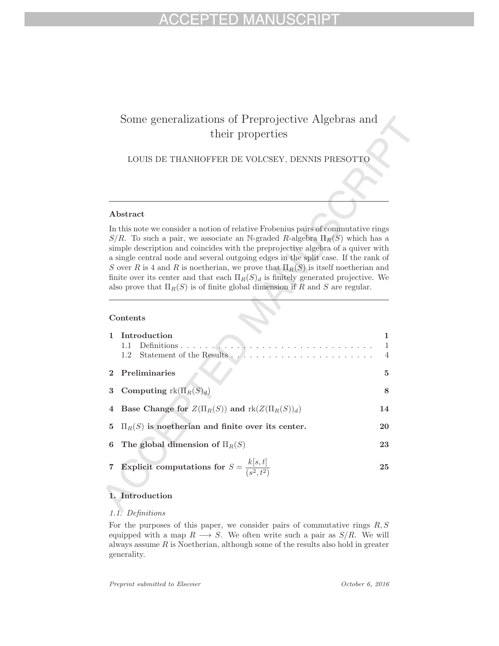# Some generalizations of Preprojective Algebras and their properties

LOUIS DE THANHOFFER DE VOLCSEY, DENNIS PRESOTTO

## **Abstract**

In this note we consider a notion of relative Frobenius pairs of commutative rings S/R. To such a pair, we associate an N-graded R-algebra  $\Pi_R(S)$  which has a simple description and coincides with the preprojective algebra of a quiver with a single central node and several outgoing edges in the split case. If the rank of S over R is 4 and R is noetherian, we prove that  $\Pi_R(S)$  is itself noetherian and finite over its center and that each  $\Pi_R(S)_d$  is finitely generated projective. We also prove that  $\Pi_R(S)$  is of finite global dimension if R and S are regular.

## **Contents**

| 1 Introduction                                                 | $\overline{1}$ |  |  |  |  |
|----------------------------------------------------------------|----------------|--|--|--|--|
| 2 Preliminaries                                                | 5              |  |  |  |  |
| <b>3</b> Computing $\text{rk}(\Pi_R(S)_d)$                     |                |  |  |  |  |
| 4 Base Change for $Z(\Pi_R(S))$ and $\text{rk}(Z(\Pi_R(S))_d)$ | 14             |  |  |  |  |
| 5 $\Pi_R(S)$ is noetherian and finite over its center.         | 20             |  |  |  |  |
| 6 The global dimension of $\Pi_R(S)$                           | 23             |  |  |  |  |
| 7 Explicit computations for $S = \frac{k[s,t]}{(s^2,t^2)}$     | 25             |  |  |  |  |

## **1. Introduction**

## 1.1. Definitions

For the purposes of this paper, we consider pairs of commutative rings  $R, S$ equipped with a map  $R \longrightarrow S$ . We often write such a pair as  $S/R$ . We will always assume  $R$  is Noetherian, although some of the results also hold in greater generality.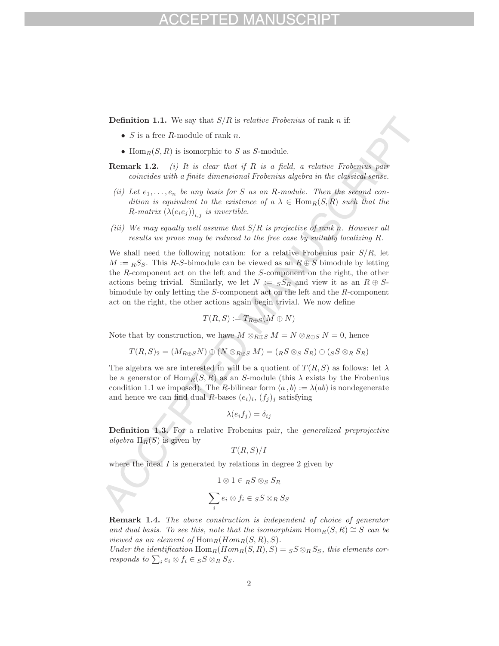**Definition 1.1.** We say that  $S/R$  is *relative Frobenius* of rank *n* if:

- $S$  is a free R-module of rank n.
- Hom $_R(S, R)$  is isomorphic to S as S-module.
- **Remark 1.2.** (i) It is clear that if R is a field, a relative Frobenius pair coincides with a finite dimensional Frobenius algebra in the classical sense.
- (ii) Let  $e_1, \ldots, e_n$  be any basis for S as an R-module. Then the second condition is equivalent to the existence of  $a \lambda \in \text{Hom}_R(S, R)$  such that the R-matrix  $(\lambda(e_i e_j))_{i,j}$  is invertible.
- (iii) We may equally well assume that  $S/R$  is projective of rank n. However all results we prove may be reduced to the free case by suitably localizing R.

We shall need the following notation: for a relative Frobenius pair  $S/R$ , let  $M := {}_R S_S$ . This R-S-bimodule can be viewed as an  $R \oplus S$  bimodule by letting the R-component act on the left and the S-component on the right, the other actions being trivial. Similarly, we let  $N := sS_R$  and view it as an  $R \oplus S$ bimodule by only letting the S-component act on the left and the R-component act on the right, the other actions again begin trivial. We now define

$$
T(R, S) := T_{R \oplus S}(M \oplus N)
$$

Note that by construction, we have  $M \otimes_{R \oplus S} M = N \otimes_{R \oplus S} N = 0$ , hence

$$
T(R, S)_2 = (M_{R \oplus S} N) \oplus (N \otimes_{R \oplus S} M) = (R S \otimes_{S} S_R) \oplus (S S \otimes_{R} S_R)
$$

The algebra we are interested in will be a quotient of  $T(R, S)$  as follows: let  $\lambda$ be a generator of  $\text{Hom}_R(S, R)$  as an S-module (this  $\lambda$  exists by the Frobenius condition 1.1 we imposed). The R-bilinear form  $\langle a, b \rangle := \lambda(ab)$  is nondegenerate and hence we can find dual R-bases  $(e_i)_i$ ,  $(f_i)_j$  satisfying

$$
\lambda(e_i f_j) = \delta_{ij}
$$

**Definition 1.3.** For a relative Frobenius pair, the *generalized preprojective* algebra  $\Pi_R(S)$  is given by

$$
T(R,S)/I
$$

where the ideal  $I$  is generated by relations in degree 2 given by

$$
1 \otimes 1 \in {}_RS \otimes_S S_R
$$

$$
\sum_i e_i \otimes f_i \in {}_SS \otimes_R S_S
$$

**Remark 1.4.** The above construction is independent of choice of generator and dual basis. To see this, note that the isomorphism  $\text{Hom}_R(S, R) \cong S$  can be viewed as an element of  $\text{Hom}_R(Hom_R(S,R), S)$ .

Under the identification  $\text{Hom}_R(Hom_R(S, R), S) = {}_S S \otimes_R S_S$ , this elements corresponds to  $\sum_i e_i \otimes f_i \in {}_S S \otimes_R S_S$ .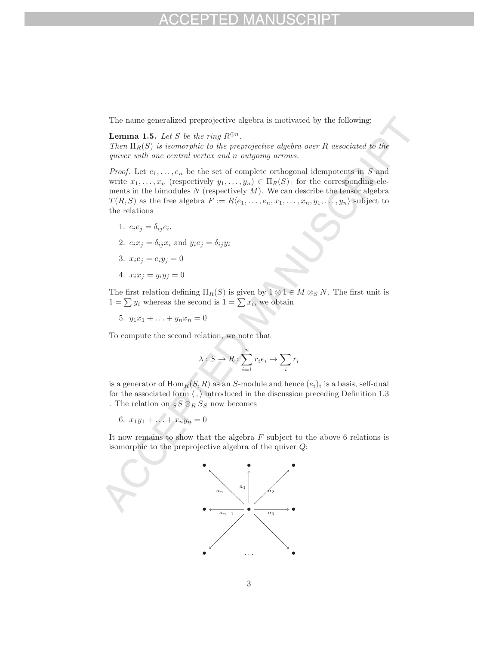The name generalized preprojective algebra is motivated by the following:

## **Lemma 1.5.** Let S be the ring  $R^{\oplus n}$ .

Then  $\Pi_R(S)$  is isomorphic to the preprojective algebra over R associated to the quiver with one central vertex and n outgoing arrows.

*Proof.* Let  $e_1, \ldots, e_n$  be the set of complete orthogonal idempotents in S and write  $x_1,\ldots,x_n$  (respectively  $y_1,\ldots,y_n) \in \Pi_R(S)_1$  for the corresponding elements in the bimodules  $N$  (respectively  $M$ ). We can describe the tensor algebra  $T(R, S)$  as the free algebra  $F := R\langle e_1, \ldots, e_n, x_1, \ldots, x_n, y_1, \ldots, y_n \rangle$  subject to the relations

- 1.  $e_i e_j = \delta_{ij} e_i$ .
- 2.  $e_i x_j = \delta_{ij} x_i$  and  $y_i e_j = \delta_{ij} y_i$
- 3.  $x_i e_j = e_i y_j = 0$
- 4.  $x_i x_j = y_i y_j = 0$

The first relation defining  $\Pi_R(S)$  is given by  $1 \otimes 1 \in M \otimes_S N$ . The first unit is  $1 = \sum y_i$  whereas the second is  $1 = \sum x_i$ , we obtain

5.  $y_1x_1 + \ldots + y_nx_n = 0$ 

To compute the second relation, we note that

$$
\lambda: S \to R: \sum_{i=1}^n r_i e_i \mapsto \sum_i r_i
$$

is a generator of  $\text{Hom}_R(S, R)$  as an S-module and hence  $(e_i)_i$  is a basis, self-dual for the associated form  $\langle , \rangle$  introduced in the discussion preceding Definition 1.3 . The relation on  $S\otimes_R S_S$  now becomes

6.  $x_1y_1 + \ldots + x_ny_n = 0$ 

It now remains to show that the algebra  $F$  subject to the above 6 relations is isomorphic to the preprojective algebra of the quiver Q:

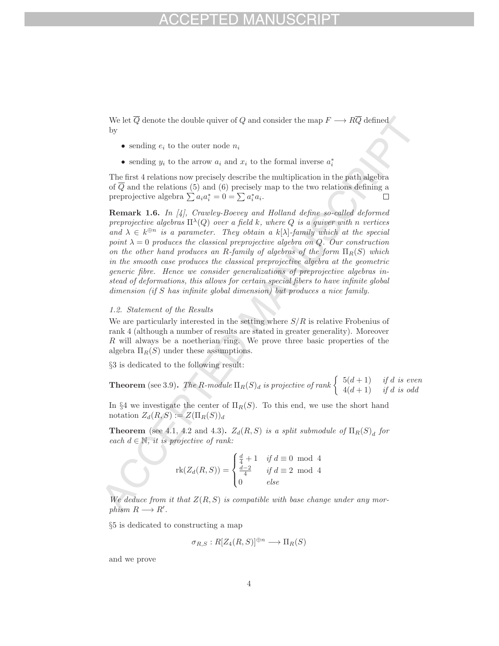We let  $\overline{Q}$  denote the double quiver of Q and consider the map  $F \longrightarrow R\overline{Q}$  defined by

- sending  $e_i$  to the outer node  $n_i$
- sending  $y_i$  to the arrow  $a_i$  and  $x_i$  to the formal inverse  $a_i^*$

The first 4 relations now precisely describe the multiplication in the path algebra of  $\overline{Q}$  and the relations (5) and (6) precisely map to the two relations defining a preprojective algebra  $\sum a_i a_i^* = 0 = \sum a_i^* a_i$ .  $\Box$ 

**Remark 1.6.** In [4], Crawley-Boevey and Holland define so-called deformed preprojective algebras  $\Pi^{\lambda}(Q)$  over a field k, where Q is a quiver with n vertices and  $\lambda \in k^{\oplus n}$  is a parameter. They obtain a k[ $\lambda$ ]-family which at the special point  $\lambda = 0$  produces the classical preprojective algebra on Q. Our construction on the other hand produces an R-family of algebras of the form  $\Pi_R(S)$  which in the smooth case produces the classical preprojective algebra at the geometric generic fibre. Hence we consider generalizations of preprojective algebras instead of deformations, this allows for certain special fibers to have infinite global dimension (if S has infinite global dimension) but produces a nice family.

## 1.2. Statement of the Results

We are particularly interested in the setting where  $S/R$  is relative Frobenius of rank 4 (although a number of results are stated in greater generality). Moreover R will always be a noetherian ring. We prove three basic properties of the algebra  $\Pi_R(S)$  under these assumptions.

§3 is dedicated to the following result:

**Theorem** (see 3.9). The R-module  $\Pi_R(S)_d$  is projective of rank  $\begin{cases} 5(d+1) & \text{if } d \text{ is even} \\ 4(d+1) & \text{if } d \text{ is odd} \end{cases}$ 

In §4 we investigate the center of  $\Pi_R(S)$ . To this end, we use the short hand notation  $Z_d(R, S) := Z(\Pi_R(S))_d$ 

**Theorem** (see 4.1, 4.2 and 4.3)**.**  $Z_d(R, S)$  is a split submodule of  $\Pi_R(S)$  for each  $d \in \mathbb{N}$ , it is projective of rank:

$$
\operatorname{rk}(Z_d(R,S)) = \begin{cases} \frac{d}{4} + 1 & \text{if } d \equiv 0 \mod 4\\ \frac{d-2}{4} & \text{if } d \equiv 2 \mod 4\\ 0 & \text{else} \end{cases}
$$

We deduce from it that  $Z(R, S)$  is compatible with base change under any morphism  $R \longrightarrow R'$ .

§5 is dedicated to constructing a map

$$
\sigma_{R,S}:R[Z_4(R,S)]^{\oplus n}\longrightarrow \Pi_R(S)
$$

and we prove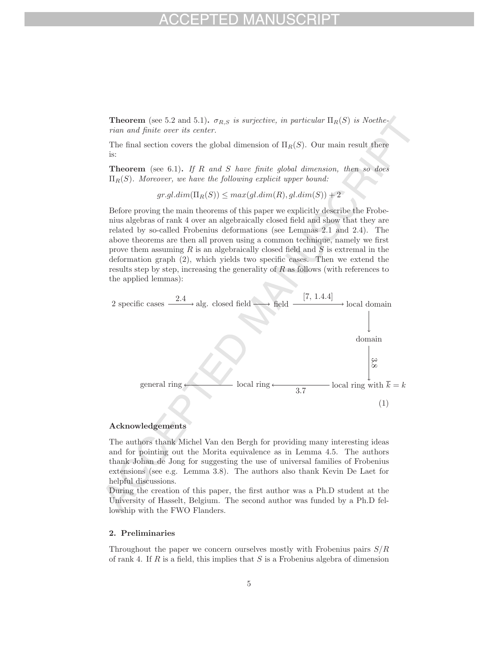**Theorem** (see 5.2 and 5.1)**.**  $\sigma_{R,S}$  is surjective, in particular  $\Pi_R(S)$  is Noetherian and finite over its center.

The final section covers the global dimension of  $\Pi_R(S)$ . Our main result there is:

**Theorem** (see 6.1). If R and S have finite global dimension, then so does  $\Pi_R(S)$ . Moreover, we have the following explicit upper bound:

 $gr.gl.dim(\Pi_R(S)) \leq max(gl.dim(R), gl.dim(S)) + 2$ 

Before proving the main theorems of this paper we explicitly describe the Frobenius algebras of rank 4 over an algebraically closed field and show that they are related by so-called Frobenius deformations (see Lemmas 2.1 and 2.4). The above theorems are then all proven using a common technique, namely we first prove them assuming R is an algebraically closed field and  $S$  is extremal in the deformation graph (2), which yields two specific cases. Then we extend the results step by step, increasing the generality of  $R$  as follows (with references to the applied lemmas):



## **Acknowledgements**

The authors thank Michel Van den Bergh for providing many interesting ideas and for pointing out the Morita equivalence as in Lemma 4.5. The authors thank Johan de Jong for suggesting the use of universal families of Frobenius extensions (see e.g. Lemma 3.8). The authors also thank Kevin De Laet for helpful discussions.

During the creation of this paper, the first author was a Ph.D student at the University of Hasselt, Belgium. The second author was funded by a Ph.D fellowship with the FWO Flanders.

## **2. Preliminaries**

Throughout the paper we concern ourselves mostly with Frobenius pairs  $S/R$ of rank 4. If  $R$  is a field, this implies that  $S$  is a Frobenius algebra of dimension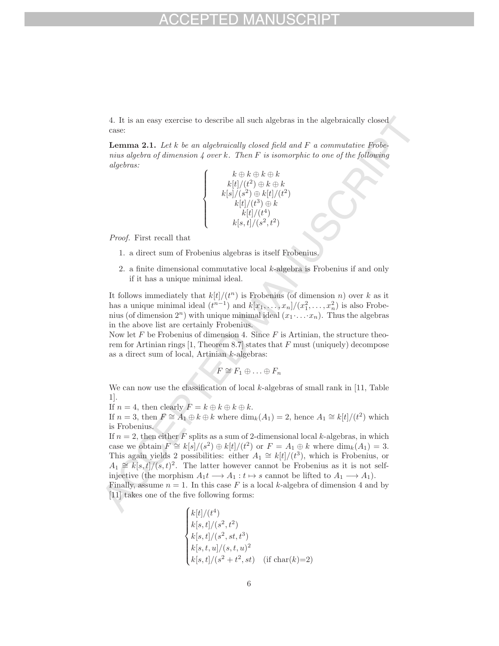4. It is an easy exercise to describe all such algebras in the algebraically closed case:

**Lemma 2.1.** Let k be an algebraically closed field and F a commutative Frobenius algebra of dimension  $\lambda$  over k. Then F is isomorphic to one of the following algebras:

$$
\left\{\begin{array}{c} k \oplus k \oplus k \oplus k \\ k[t]/(t^2) \oplus k \oplus k \\ k[s]/(s^2) \oplus k[t]/(t^2) \\ k[t]/(t^3) \oplus k \\ k[t]/(t^4) \\ k[s,t]/(s^2,t^2) \end{array}\right.
$$

Proof. First recall that

- 1. a direct sum of Frobenius algebras is itself Frobenius.
- 2. a finite dimensional commutative local  $k$ -algebra is Frobenius if and only if it has a unique minimal ideal.

It follows immediately that  $k[t]/(t^n)$  is Frobenius (of dimension n) over k as it has a unique minimal ideal  $(t^{n-1})$  and  $k[x_1,\ldots,x_n]/(x_1^2,\ldots,x_n^2)$  is also Frobenius (of dimension  $2^n$ ) with unique minimal ideal  $(x_1 \ldots x_n)$ . Thus the algebras in the above list are certainly Frobenius.

Now let F be Frobenius of dimension 4. Since  $F$  is Artinian, the structure theorem for Artinian rings  $[1,$  Theorem 8.7 states that  $F$  must (uniquely) decompose as a direct sum of local, Artinian k-algebras:

$$
F \cong F_1 \oplus \ldots \oplus F_n
$$

We can now use the classification of local  $k$ -algebras of small rank in [11, Table 1].

If  $n = 4$ , then clearly  $F = k \oplus k \oplus k \oplus k$ .

If  $n = 3$ , then  $F \cong A_1 \oplus k \oplus k$  where  $\dim_k(A_1) = 2$ , hence  $A_1 \cong k[t]/(t^2)$  which is Frobenius.

If  $n = 2$ , then either F splits as a sum of 2-dimensional local k-algebras, in which case we obtain  $F \cong k[s]/(s^2) \oplus k[t]/(t^2)$  or  $F = A_1 \oplus k$  where  $\dim_k(A_1) = 3$ . This again yields 2 possibilities: either  $A_1 \cong k[t]/(t^3)$ , which is Frobenius, or  $A_1 \cong k[s, t]/(s, t)^2$ . The latter however cannot be Frobenius as it is not selfinjective (the morphism  $A_1t \longrightarrow A_1 : t \mapsto s$  cannot be lifted to  $A_1 \longrightarrow A_1$ ).

Finally, assume  $n = 1$ . In this case F is a local k-algebra of dimension 4 and by [11] takes one of the five following forms:

$$
\begin{cases}\nk[t]/(t^4) \\
k[s, t]/(s^2, t^2) \\
k[s, t]/(s^2, st, t^3) \\
k[s, t, u]/(s, t, u)^2 \\
k[s, t]/(s^2 + t^2, st) \quad \text{(if char}(k)=2)\n\end{cases}
$$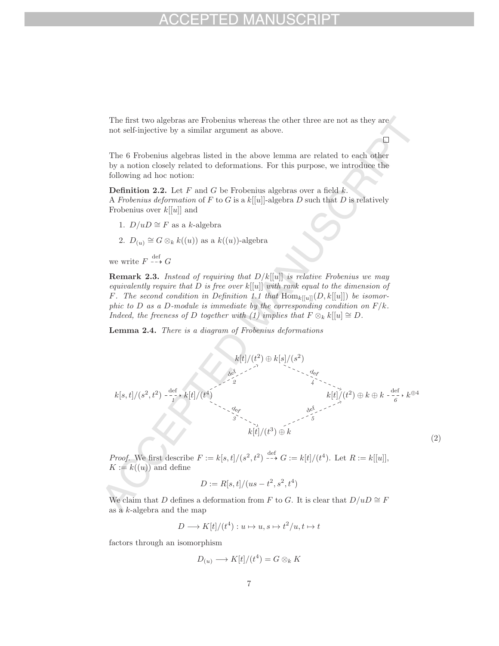The first two algebras are Frobenius whereas the other three are not as they are not self-injective by a similar argument as above.

 $\Box$ 

The 6 Frobenius algebras listed in the above lemma are related to each other by a notion closely related to deformations. For this purpose, we introduce the following ad hoc notion:

**Definition 2.2.** Let  $F$  and  $G$  be Frobenius algebras over a field  $k$ . A Frobenius deformation of F to G is a  $k[[u]]$ -algebra D such that D is relatively Frobenius over  $k[[u]]$  and

- 1.  $D/uD \cong F$  as a *k*-algebra
- 2.  $D_{(u)} \cong G \otimes_k k((u))$  as a  $k((u))$ -algebra

we write  $F \xrightarrow{\text{def}} G$ 

**Remark 2.3.** Instead of requiring that  $D/k[[u]]$  is relative Frobenius we may equivalently require that D is free over  $k[[u]]$  with rank equal to the dimension of F. The second condition in Definition 1.1 that  $\text{Hom}_{k[[u]]}(D, k[[u]])$  be isomorphic to D as a D-module is immediate by the corresponding condition on  $F/k$ . Indeed, the freeness of D together with (1) implies that  $F \otimes_k k[[u]] \cong D$ .

**Lemma 2.4.** There is a diagram of Frobenius deformations



*Proof.* We first describe  $F := k[s, t]/(s^2, t^2) \xrightarrow{\text{def}} G := k[t]/(t^4)$ . Let  $R := k[[u]]$ ,  $K := k((u))$  and define

$$
D := R[s, t]/(us - t^2, s^2, t^4)
$$

We claim that D defines a deformation from F to G. It is clear that  $D/uD \cong F$ as a  $k$ -algebra and the map

$$
D \longrightarrow K[t]/(t^4): u \mapsto u, s \mapsto t^2/u, t \mapsto t
$$

factors through an isomorphism

$$
D_{(u)} \longrightarrow K[t]/(t^4) = G \otimes_k K
$$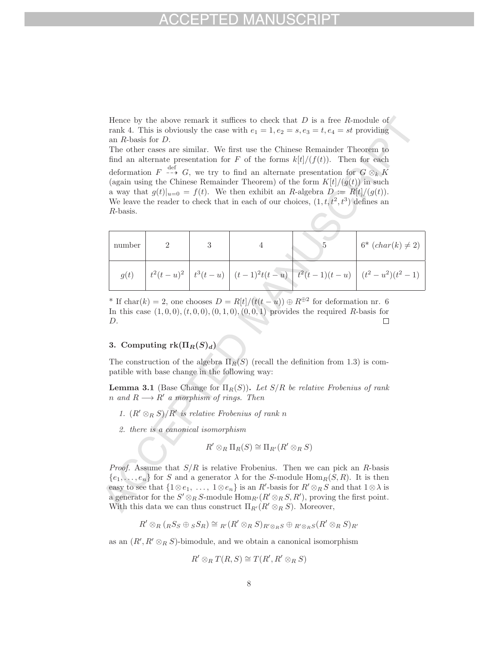Hence by the above remark it suffices to check that  $D$  is a free  $R$ -module of rank 4. This is obviously the case with  $e_1 = 1, e_2 = s, e_3 = t, e_4 = st$  providing an R-basis for D.

The other cases are similar. We first use the Chinese Remainder Theorem to find an alternate presentation for F of the forms  $k[t]/(f(t))$ . Then for each deformation  $F \stackrel{\text{def}}{\dashrightarrow} G$ , we try to find an alternate presentation for  $G \otimes_k K$ (again using the Chinese Remainder Theorem) of the form  $K[t]/(g(t))$  in such a way that  $g(t)|_{u=0} = f(t)$ . We then exhibit an R-algebra  $D := R[t]/(g(t))$ . We leave the reader to check that in each of our choices,  $(1, t, t^2, t^3)$  defines an R-basis.

| number |  |  | $6^* (char(k) \neq 2)$                                                                       |
|--------|--|--|----------------------------------------------------------------------------------------------|
| g(t)   |  |  | $\mid t^2(t-u)^2 \mid t^3(t-u) \mid (t-1)^2 t(t-u) \mid t^2(t-1)(t-u) \mid (t^2-u^2)(t^2-1)$ |

<sup>\*</sup> If char(k) = 2, one chooses  $D = R[t]/(t(t-u)) \oplus R^{\oplus 2}$  for deformation nr. 6 In this case  $(1, 0, 0), (t, 0, 0), (0, 1, 0), (0, 0, 1)$  provides the required R-basis for D.  $\Box$ 

## **3.** Computing  $rk(\Pi_R(S)_d)$

The construction of the algebra  $\Pi_R(S)$  (recall the definition from 1.3) is compatible with base change in the following way:

**Lemma 3.1** (Base Change for  $\Pi_R(S)$ ). Let  $S/R$  be relative Frobenius of rank n and  $R \longrightarrow R'$  a morphism of rings. Then

- 1.  $(R' \otimes_R S)/R'$  is relative Frobenius of rank n
- 2. there is a canonical isomorphism

$$
R' \otimes_R \Pi_R(S) \cong \Pi_{R'}(R' \otimes_R S)
$$

*Proof.* Assume that  $S/R$  is relative Frobenius. Then we can pick an R-basis  ${e_1,\ldots,e_n}$  for S and a generator  $\lambda$  for the S-module Hom $_R(S, R)$ . It is then easy to see that  $\{1\otimes e_1, \ldots, 1\otimes e_n\}$  is an  $R'$ -basis for  $R'\otimes_R S$  and that  $1\otimes \lambda$  is a generator for the  $S' \otimes_R S$ -module  $\text{Hom}_{R'}(R' \otimes_R S, R')$ , proving the first point. With this data we can thus construct  $\Pi_{R'}(R' \otimes_R S)$ . Moreover,

$$
R' \otimes_R (R \otimes_S \oplus_S S_R) \cong R'(R' \otimes_R S)_{R' \otimes_R S} \oplus R' \otimes_R S(R' \otimes_R S)_{R'}
$$

as an  $(R', R' \otimes_R S)$ -bimodule, and we obtain a canonical isomorphism

$$
R' \otimes_R T(R, S) \cong T(R', R' \otimes_R S)
$$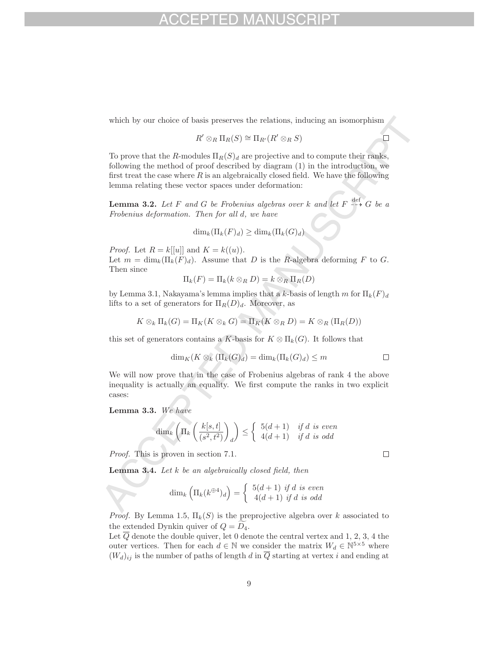which by our choice of basis preserves the relations, inducing an isomorphism

$$
R' \otimes_R \Pi_R(S) \cong \Pi_{R'}(R' \otimes_R S)
$$

To prove that the R-modules  $\Pi_R(S)_d$  are projective and to compute their ranks, following the method of proof described by diagram (1) in the introduction, we first treat the case where  $R$  is an algebraically closed field. We have the following lemma relating these vector spaces under deformation:

**Lemma 3.2.** Let F and G be Frobenius algebras over k and let  $F \dashrightarrow G$  be a Frobenius deformation. Then for all d, we have

$$
\dim_k(\Pi_k(F)_d) \ge \dim_k(\Pi_k(G)_d)
$$

*Proof.* Let  $R = k[[u]]$  and  $K = k((u))$ . Let  $m = \dim_k(\Pi_k(F)_d)$ . Assume that D is the R-algebra deforming F to G. Then since

$$
\Pi_k(F) = \Pi_k(k \otimes_R D) = k \otimes_R \Pi_R(D)
$$

by Lemma 3.1, Nakayama's lemma implies that a k-basis of length m for  $\Pi_k(F)_d$ lifts to a set of generators for  $\Pi_R(D)_d$ . Moreover, as

$$
K \otimes_k \Pi_k(G) = \Pi_K(K \otimes_k G) = \Pi_K(K \otimes_R D) = K \otimes_R (\Pi_R(D))
$$

this set of generators contains a K-basis for  $K \otimes \Pi_k(G)$ . It follows that

$$
\dim_K(K\otimes_k(\Pi_k(G)_d)=\dim_k(\Pi_k(G)_d)\leq m
$$

We will now prove that in the case of Frobenius algebras of rank 4 the above inequality is actually an equality. We first compute the ranks in two explicit cases:

**Lemma 3.3.** We have

$$
\dim_k\left(\Pi_k\left(\frac{k[s,t]}{(s^2,t^2)}\right)_d\right)\leq \left\{\begin{array}{ll}5(d+1)&{\rm if\ } d{\rm\ is\ even}\\4(d+1)&{\rm if\ } d{\rm\ is\ odd}\end{array}\right.
$$

Proof. This is proven in section 7.1.

**Lemma 3.4.** Let k be an algebraically closed field, then

$$
\dim_k \left( \Pi_k(k^{\oplus 4})_d \right) = \begin{cases} 5(d+1) & \text{if } d \text{ is even} \\ 4(d+1) & \text{if } d \text{ is odd} \end{cases}
$$

*Proof.* By Lemma 1.5,  $\Pi_k(S)$  is the preprojective algebra over k associated to the extended Dynkin quiver of  $Q = D_4$ .

Let  $\overline{Q}$  denote the double quiver, let 0 denote the central vertex and 1, 2, 3, 4 the outer vertices. Then for each  $d \in \mathbb{N}$  we consider the matrix  $W_d \in \mathbb{N}^{5 \times 5}$  where  $(W_d)_{ij}$  is the number of paths of length d in  $\overline{Q}$  starting at vertex i and ending at

9

 $\Box$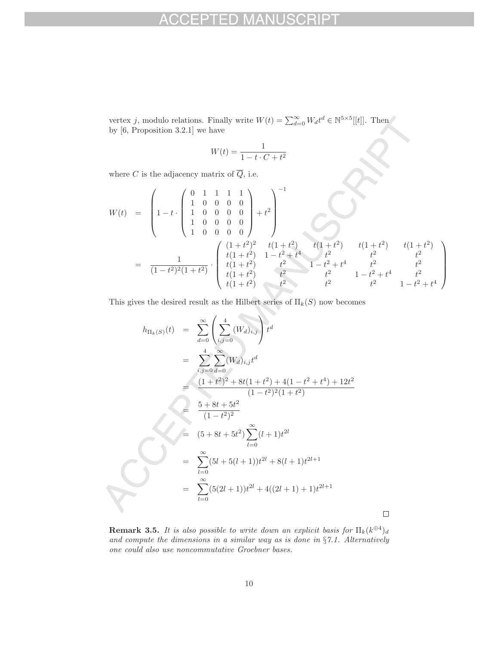vertex j, modulo relations. Finally write  $W(t) = \sum_{d=0}^{\infty} W_d t^d \in \mathbb{N}^{5 \times 5}[[t]]$ . Then by [6, Proposition 3.2.1] we have

$$
W(t) = \frac{1}{1 - t \cdot C + t^2}
$$

where  $C$  is the adjacency matrix of  $\overline{Q}$ , i.e.

$$
W(t) = \begin{pmatrix} 0 & 1 & 1 & 1 & 1 \\ 1 & 0 & 0 & 0 & 0 \\ 1 & 0 & 0 & 0 & 0 \\ 1 & 0 & 0 & 0 & 0 \end{pmatrix} + t^{2} \begin{pmatrix} 0 & 1 & 1 & 1 & 1 \\ 1 & 0 & 0 & 0 & 0 \\ 1 & 0 & 0 & 0 & 0 \end{pmatrix} + t^{2} \begin{pmatrix} 1+t^{2} & t(1+t^{2}) & t(1+t^{2}) & t(1+t^{2}) & t(1+t^{2}) \\ t(1+t^{2}) & 1-t^{2}+t^{4} & t^{2} & t^{2} & t^{2} \\ t(1+t^{2}) & t^{2} & 1-t^{2}+t^{4} & t^{2} & t^{2} \\ t(1+t^{2}) & t^{2} & t^{2} & 1-t^{2}+t^{4} & t^{2} \\ t(1+t^{2}) & t^{2} & t^{2} & t^{2} & 1-t^{2}+t^{4} & t^{2} \\ t(1+t^{2}) & t^{2} & t^{2} & t^{2} & 1-t^{2}+t^{4} \end{pmatrix}
$$

This gives the desired result as the Hilbert series of  $\Pi_k(S)$  now becomes

$$
h_{\Pi_k(S)}(t) = \sum_{d=0}^{\infty} \left( \sum_{i,j=0}^4 (W_d)_{i,j} \right) t^d
$$
  
\n
$$
= \sum_{i,j=0}^4 \sum_{d=0}^{\infty} (W_d)_{i,j} t^d
$$
  
\n
$$
= \frac{(1+t^2)^2 + 8t(1+t^2) + 4(1-t^2+t^4) + 12t^2}{(1-t^2)^2(1+t^2)}
$$
  
\n
$$
= \frac{5+8t+5t^2}{(1-t^2)^2}
$$
  
\n
$$
= (5+8t+5t^2) \sum_{l=0}^{\infty} (l+1)t^{2l}
$$
  
\n
$$
= \sum_{l=0}^{\infty} (5l+5(l+1))t^{2l} + 8(l+1)t^{2l+1}
$$
  
\n
$$
= \sum_{l=0}^{\infty} (5(2l+1))t^{2l} + 4((2l+1)+1)t^{2l+1}
$$

**Remark 3.5.** It is also possible to write down an explicit basis for  $\Pi_k(k^{\oplus 4})_d$ and compute the dimensions in a similar way as is done in  $\S 7.1$ . Alternatively one could also use noncommutative Groebner bases.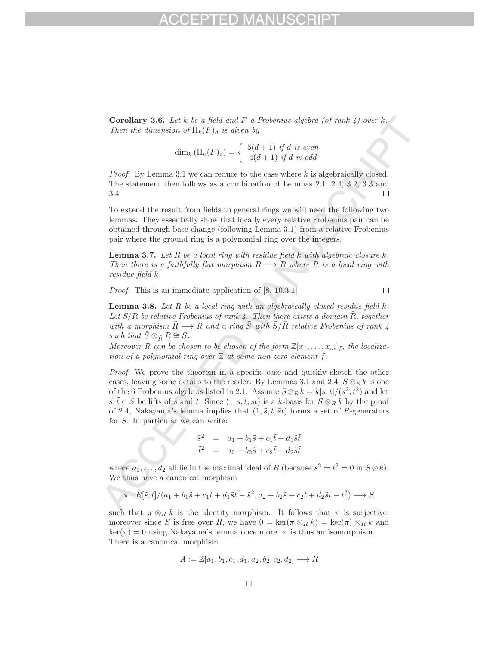**Corollary 3.6.** Let  $k$  be a field and  $F$  a Frobenius algebra (of rank  $4$ ) over  $k$ . Then the dimension of  $\Pi_k(F)_d$  is given by

$$
\dim_k \left( \Pi_k(F)_d \right) = \left\{ \begin{array}{c} 5(d+1) \text{ if } d \text{ is even} \\ 4(d+1) \text{ if } d \text{ is odd} \end{array} \right.
$$

*Proof.* By Lemma 3.1 we can reduce to the case where  $k$  is algebraically closed. The statement then follows as a combination of Lemmas 2.1, 2.4, 3.2, 3.3 and 3.4  $\Box$ 

To extend the result from fields to general rings we will need the following two lemmas. They essentially show that locally every relative Frobenius pair can be obtained through base change (following Lemma 3.1) from a relative Frobenius pair where the ground ring is a polynomial ring over the integers.

**Lemma 3.7.** Let R be a local ring with residue field k with algebraic closure  $\overline{k}$ . Then there is a faithfully flat morphism  $R \longrightarrow \overline{R}$  where  $\overline{R}$  is a local ring with residue field  $\overline{k}$ .

Proof. This is an immediate application of [8, 10.3.1]

**Lemma 3.8.** Let  $R$  be a local ring with an algebraically closed residue field  $k$ . Let  $S/R$  be relative Frobenius of rank 4. Then there exists a domain R, together with a morphism  $\tilde{R} \longrightarrow R$  and a ring  $\tilde{S}$  with  $\tilde{S}/\tilde{R}$  relative Frobenius of rank 4 such that  $\tilde{S} \otimes_{\tilde{R}} R \cong S$ .

Moreover  $\tilde{R}$  can be chosen to be chosen of the form  $\mathbb{Z}[x_1,\ldots,x_m]_f$ , the localization of a polynomial ring over  $\mathbb Z$  at some non-zero element f.

Proof. We prove the theorem in a specific case and quickly sketch the other cases, leaving some details to the reader. By Lemmas 3.1 and 2.4,  $S \otimes_R k$  is one of the 6 Frobenius algebras listed in 2.1. Assume  $S \otimes_R k = k[s, t]/(s^2, t^2)$  and let  $\tilde{s}, \tilde{t} \in S$  be lifts of s and t. Since  $(1, s, t, st)$  is a k-basis for  $S \otimes_R k$  by the proof of 2.4, Nakayama's lemma implies that  $(1, \tilde{s}, \tilde{t}, \tilde{s}\tilde{t})$  forms a set of R-generators for S. In particular we can write:

$$
\begin{array}{rcl}\n\tilde{s}^2 & = & a_1 + b_1 \tilde{s} + c_1 \tilde{t} + d_1 \tilde{s} \tilde{t} \\
\tilde{t}^2 & = & a_2 + b_2 \tilde{s} + c_2 \tilde{t} + d_2 \tilde{s} \tilde{t}\n\end{array}
$$

where  $a_1, \ldots, d_2$  all lie in the maximal ideal of R (because  $s^2 = t^2 = 0$  in  $S \otimes k$ ). We thus have a canonical morphism

$$
\pi:R[\tilde{s},\tilde{t}]/(a_1+b_1\tilde{s}+c_1\tilde{t}+d_1\tilde{s}\tilde{t}-\tilde{s}^2,a_2+b_2\tilde{s}+c_2\tilde{t}+d_2\tilde{s}\tilde{t}-\tilde{t}^2)\longrightarrow S
$$

such that  $\pi \otimes_R k$  is the identity morphism. It follows that  $\pi$  is surjective, moreover since S is free over R, we have  $0 = \ker(\pi \otimes_R k) = \ker(\pi) \otimes_R k$  and  $\ker(\pi) = 0$  using Nakayama's lemma once more.  $\pi$  is thus an isomorphism. There is a canonical morphism

$$
A := \mathbb{Z}[a_1, b_1, c_1, d_1, a_2, b_2, c_2, d_2] \longrightarrow R
$$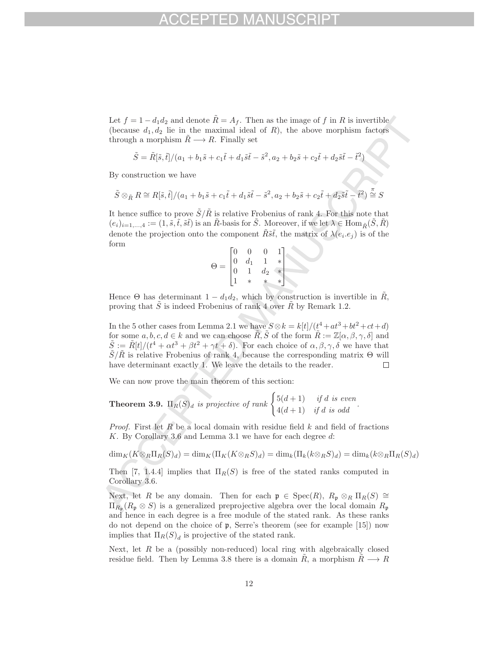Let  $f = 1 - d_1 d_2$  and denote  $\tilde{R} = A_f$ . Then as the image of f in R is invertible (because  $d_1, d_2$  lie in the maximal ideal of  $R$ ), the above morphism factors through a morphism  $\tilde{R} \longrightarrow R$ . Finally set

$$
\tilde{S} = \tilde{R}[\tilde{s}, \tilde{t}]/(a_1 + b_1 \tilde{s} + c_1 \tilde{t} + d_1 \tilde{s} \tilde{t} - \tilde{s}^2, a_2 + b_2 \tilde{s} + c_2 \tilde{t} + d_2 \tilde{s} \tilde{t} - \tilde{t}^2)
$$

By construction we have

$$
\tilde{S} \otimes_{\tilde{R}} R \cong R[\tilde{s}, \tilde{t}]/(a_1 + b_1 \tilde{s} + c_1 \tilde{t} + d_1 \tilde{s} \tilde{t} - \tilde{s}^2, a_2 + b_2 \tilde{s} + c_2 \tilde{t} + d_2 \tilde{s} \tilde{t} - \tilde{t}^2) \stackrel{\pi}{\cong} S
$$

It hence suffice to prove  $\tilde{S}/\tilde{R}$  is relative Frobenius of rank 4. For this note that  $(e_i)_{i=1,\ldots,4} := (1, \tilde{s}, \tilde{t}, \tilde{s}\tilde{t})$  is an  $\tilde{R}$ -basis for  $\tilde{S}$ . Moreover, if we let  $\lambda \in \text{Hom}_{\tilde{R}}(\tilde{S}, \tilde{R})$ denote the projection onto the component  $\tilde{R}\tilde{s}\tilde{t}$ , the matrix of  $\lambda(e_i,e_j)$  is of the form

$$
\Theta = \begin{bmatrix} 0 & 0 & 0 & 1 \\ 0 & d_1 & 1 & * \\ 0 & 1 & d_2 & * \\ 1 & * & * & * \end{bmatrix}
$$

Hence  $\Theta$  has determinant  $1 - d_1 d_2$ , which by construction is invertible in  $\tilde{R}$ , proving that  $\tilde{S}$  is indeed Frobenius of rank 4 over  $\tilde{R}$  by Remark 1.2.

In the 5 other cases from Lemma 2.1 we have  $S \otimes k = k[t]/(t^4 + at^3 + bt^2 + ct + d)$ for some  $a, b, c, d \in k$  and we can choose  $\tilde{R}, \tilde{S}$  of the form  $\tilde{R} := \mathbb{Z}[\alpha, \beta, \gamma, \delta]$  and  $\tilde{S} := \tilde{R}[t]/(t^4 + \alpha t^3 + \beta t^2 + \gamma t + \delta)$ . For each choice of  $\alpha, \beta, \gamma, \delta$  we have that  $\tilde{S}/\tilde{R}$  is relative Frobenius of rank 4, because the corresponding matrix  $\Theta$  will have determinant exactly 1. We leave the details to the reader.  $\Box$ 

We can now prove the main theorem of this section:

**Theorem 3.9.** 
$$
\Pi_R(S)_d
$$
 is projective of rank  $\begin{cases} 5(d+1) & \text{if } d \text{ is even} \\ 4(d+1) & \text{if } d \text{ is odd} \end{cases}$ .

*Proof.* First let  $R$  be a local domain with residue field  $k$  and field of fractions K. By Corollary 3.6 and Lemma 3.1 we have for each degree d:

 $\dim_K(K\otimes_R \Pi_R(S)_d) = \dim_K(\Pi_K(K\otimes_R S)_d) = \dim_k(\Pi_k(k\otimes_R S)_d) = \dim_k(k\otimes_R \Pi_R(S)_d)$ 

Then [7, 1.4.4] implies that  $\Pi_R(S)$  is free of the stated ranks computed in Corollary 3.6.

Next, let R be any domain. Then for each  $\mathfrak{p} \in \text{Spec}(R)$ ,  $R_{\mathfrak{p}} \otimes_R \Pi_R(S) \cong$  $\Pi_{R_{\mathfrak{p}}}(R_{\mathfrak{p}}\otimes S)$  is a generalized preprojective algebra over the local domain  $R_{\mathfrak{p}}$ and hence in each degree is a free module of the stated rank. As these ranks do not depend on the choice of p, Serre's theorem (see for example [15]) now implies that  $\Pi_R(S)_d$  is projective of the stated rank.

Next, let  $R$  be a (possibly non-reduced) local ring with algebraically closed residue field. Then by Lemma 3.8 there is a domain  $\ddot{R}$ , a morphism  $\ddot{R} \longrightarrow R$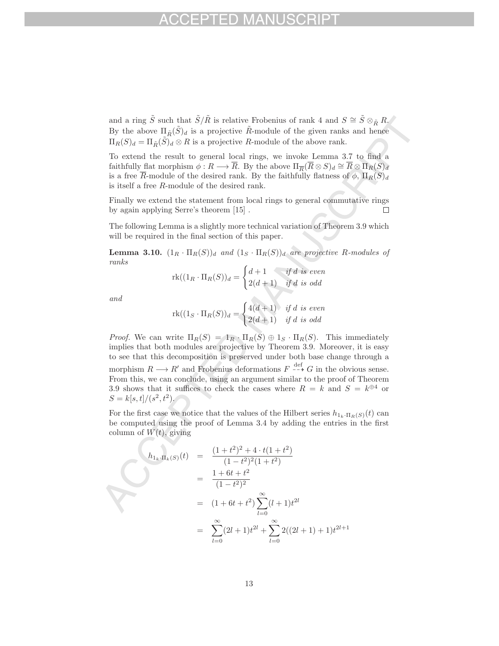and a ring S such that  $\tilde{S}/\tilde{R}$  is relative Frobenius of rank 4 and  $S \cong \tilde{S} \otimes_{\tilde{R}} R$ . By the above  $\Pi_{\tilde{R}}(\tilde{S})_d$  is a projective  $\tilde{R}$ -module of the given ranks and hence  $\Pi_R(S)_d = \Pi_{\tilde{R}}(\tilde{S})_d \otimes R$  is a projective R-module of the above rank.

To extend the result to general local rings, we invoke Lemma 3.7 to find a faithfully flat morphism  $\phi: R \longrightarrow \overline{R}$ . By the above  $\Pi_{\overline{R}}(\overline{R} \otimes S)_d \cong \overline{R} \otimes \overline{\Pi}_R(\overline{S})_d$ is a free  $\overline{R}$ -module of the desired rank. By the faithfully flatness of  $\phi$ ,  $\Pi_R(S)_d$ is itself a free R-module of the desired rank.

Finally we extend the statement from local rings to general commutative rings by again applying Serre's theorem [15] .  $\Box$ 

The following Lemma is a slightly more technical variation of Theorem 3.9 which will be required in the final section of this paper.

**Lemma 3.10.**  $(1_R \cdot \Pi_R(S))_d$  and  $(1_S \cdot \Pi_R(S))_d$  are projective R-modules of ranks

$$
\mathrm{rk}((1_R\cdot \Pi_R(S))_d=\begin{cases} d+1 &\textit{if $d$ is even} \\ 2(d+1) &\textit{if $d$ is odd} \end{cases}
$$

and

$$
\mathrm{rk}((1_S\cdot \Pi_R(S))_d=\begin{cases} 4(d+1)&\textit{if $d$ is even}\\ 2(d+1)&\textit{if $d$ is odd}\end{cases}
$$

*Proof.* We can write  $\Pi_R(S) = 1_R \cdot \Pi_R(\overline{S}) \oplus 1_S \cdot \Pi_R(S)$ . This immediately implies that both modules are projective by Theorem 3.9. Moreover, it is easy to see that this decomposition is preserved under both base change through a morphism  $R \longrightarrow R'$  and Frobenius deformations  $F \stackrel{\text{def}}{\dashrightarrow} G$  in the obvious sense. From this, we can conclude, using an argument similar to the proof of Theorem 3.9 shows that it suffices to check the cases where  $R = k$  and  $S = k^{\oplus 4}$  or  $S = k[s, t]/(s^2, t^2).$ 

For the first case we notice that the values of the Hilbert series  $h_{1_k \cdot \Pi_R(S)}(t)$  can be computed using the proof of Lemma 3.4 by adding the entries in the first column of  $W(t)$ , giving

$$
h_{1_k, \Pi_k(S)}(t) = \frac{(1+t^2)^2 + 4 \cdot t(1+t^2)}{(1-t^2)^2(1+t^2)}
$$
  
= 
$$
\frac{1+6t+t^2}{(1-t^2)^2}
$$
  
= 
$$
(1+6t+t^2) \sum_{l=0}^{\infty} (l+1)t^{2l}
$$
  
= 
$$
\sum_{l=0}^{\infty} (2l+1)t^{2l} + \sum_{l=0}^{\infty} 2((2l+1)+1)t^{2l+1}
$$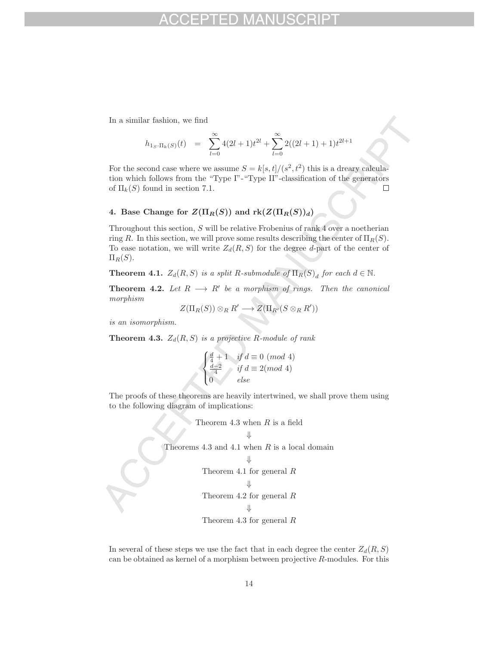In a similar fashion, we find

$$
h_{1_S \cdot \Pi_k(S)}(t) = \sum_{l=0}^{\infty} 4(2l+1)t^{2l} + \sum_{l=0}^{\infty} 2((2l+1)+1)t^{2l+1}
$$

For the second case where we assume  $S = k[s, t]/(s^2, t^2)$  this is a dreary calculation which follows from the "Type I"-"Type II"-classification of the generators of  $\Pi_k(S)$  found in section 7.1.  $\Box$ 

# **4.** Base Change for  $Z(\Pi_R(S))$  and  $\text{rk}(Z(\Pi_R(S))_d)$

Throughout this section, S will be relative Frobenius of rank 4 over a noetherian ring R. In this section, we will prove some results describing the center of  $\Pi_R(S)$ . To ease notation, we will write  $Z_d(R, S)$  for the degree d-part of the center of  $\Pi_R(S)$ .

**Theorem 4.1.**  $Z_d(R, S)$  is a split R-submodule of  $\Pi_R(S)_d$  for each  $d \in \mathbb{N}$ .

**Theorem 4.2.** Let  $R \longrightarrow R'$  be a morphism of rings. Then the canonical morphism

$$
Z(\Pi_R(S))\otimes_R R'\longrightarrow Z(\Pi_{R'}(S\otimes_R R'))
$$

is an isomorphism.

**Theorem 4.3.**  $Z_d(R, S)$  is a projective R-module of rank

$$
\begin{cases} \frac{d}{4} + 1 & \text{if } d \equiv 0 \pmod{4} \\ \frac{d-2}{4} & \text{if } d \equiv 2 \pmod{4} \\ 0 & \text{else} \end{cases}
$$

The proofs of these theorems are heavily intertwined, we shall prove them using to the following diagram of implications:

Theorem 4.3 when *R* is a field 
$$
\Downarrow
$$
  
\nTheorems 4.3 and 4.1 when *R* is a local domain  $\Downarrow$   
\nTheorem 4.1 for general *R*  
\n $\Downarrow$   
\nTheorem 4.2 for general *R*  
\n $\Downarrow$   
\nTheorem 4.3 for general *R*

In several of these steps we use the fact that in each degree the center  $Z_d(R, S)$ can be obtained as kernel of a morphism between projective R-modules. For this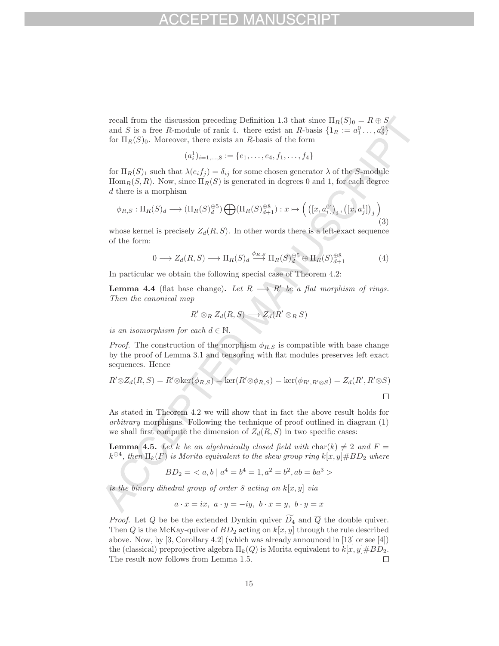recall from the discussion preceding Definition 1.3 that since  $\Pi_R(S)_0 = R \oplus S$ and S is a free R-module of rank 4. there exist an R-basis  $\{1_R := a_1^0 \ldots, a_5^0\}$ for  $\Pi_R(S)_0$ . Moreover, there exists an R-basis of the form

$$
(a_i^1)_{i=1,\ldots,8} := \{e_1,\ldots,e_4,f_1,\ldots,f_4\}
$$

for  $\Pi_R(S)_1$  such that  $\lambda(e_if_j) = \delta_{ij}$  for some chosen generator  $\lambda$  of the S-module  $\text{Hom}_R(S, R)$ . Now, since  $\Pi_R(S)$  is generated in degrees 0 and 1, for each degree d there is a morphism

$$
\phi_{R,S}: \Pi_R(S)_d \longrightarrow (\Pi_R(S)_d^{\oplus 5}) \bigoplus (\Pi_R(S)_{d+1}^{\oplus 8}) : x \mapsto \left( \left( [x, a_i^0] \right)_i, \left( [x, a_j^1] \right)_j \right) \tag{3}
$$

whose kernel is precisely  $Z_d(R, S)$ . In other words there is a left-exact sequence of the form:

$$
0 \longrightarrow Z_d(R, S) \longrightarrow \Pi_R(S)_d \stackrel{\phi_{R,S}}{\longrightarrow} \Pi_R(S)_d^{\oplus 5} \oplus \Pi_R(S)_{d+1}^{\oplus 8} \tag{4}
$$

In particular we obtain the following special case of Theorem 4.2:

**Lemma 4.4** (flat base change). Let  $R \rightarrow R'$  be a flat morphism of rings. Then the canonical map

$$
R' \otimes_R Z_d(R, S) \longrightarrow Z_d(R' \otimes_R S)
$$

is an isomorphism for each  $d \in \mathbb{N}$ .

*Proof.* The construction of the morphism  $\phi_{R,S}$  is compatible with base change by the proof of Lemma 3.1 and tensoring with flat modules preserves left exact sequences. Hence

$$
R' \otimes Z_d(R, S) = R' \otimes \ker(\phi_{R, S}) = \ker(R' \otimes \phi_{R, S}) = \ker(\phi_{R', R' \otimes S}) = Z_d(R', R' \otimes S)
$$

As stated in Theorem 4.2 we will show that in fact the above result holds for arbitrary morphisms. Following the technique of proof outlined in diagram (1) we shall first compute the dimension of  $Z_d(R, S)$  in two specific cases:

**Lemma 4.5.** Let k be an algebraically closed field with char(k)  $\neq 2$  and  $F =$  $k^{\oplus 4}$ , then  $\Pi_k(F)$  is Morita equivalent to the skew group ring  $k[x, y] \# BD_2$  where

$$
BD_2 = \langle a, b \mid a^4 = b^4 = 1, a^2 = b^2, ab = ba^3 \rangle
$$

is the binary dihedral group of order 8 acting on  $k[x, y]$  via

$$
a\cdot x=ix,\ a\cdot y=-iy,\ b\cdot x=y,\ b\cdot y=x
$$

*Proof.* Let Q be be the extended Dynkin quiver  $D_4$  and  $\overline{Q}$  the double quiver. Then  $\overline{Q}$  is the McKay-quiver of  $BD_2$  acting on  $k[x, y]$  through the rule described above. Now, by [3, Corollary 4.2] (which was already announced in [13] or see [4]) the (classical) preprojective algebra  $\Pi_k(Q)$  is Morita equivalent to  $k[x, y] \# BD_2$ . The result now follows from Lemma 1.5.  $\Box$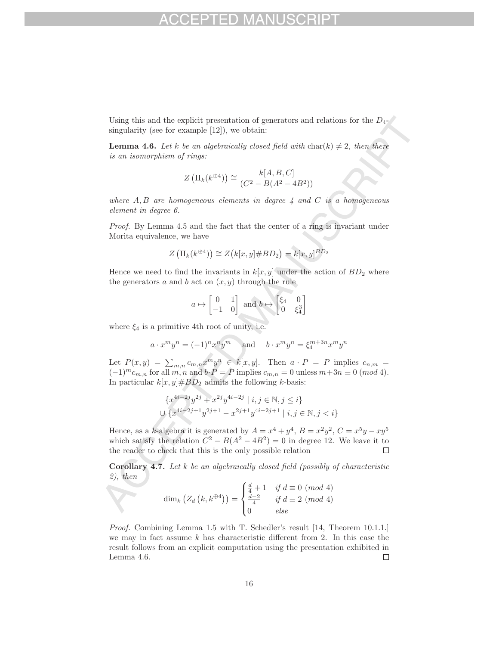Using this and the explicit presentation of generators and relations for the  $D_{4-}$ singularity (see for example [12]), we obtain:

**Lemma 4.6.** Let k be an algebraically closed field with  $char(k) \neq 2$ , then there is an isomorphism of rings:

$$
Z\left(\Pi_k(k^{\oplus 4})\right) \cong \frac{k[A, B, C]}{(C^2 - B(A^2 - 4B^2))}
$$

where  $A, B$  are homogeneous elements in degree  $\lambda$  and  $C$  is a homogeneous element in degree 6.

Proof. By Lemma 4.5 and the fact that the center of a ring is invariant under Morita equivalence, we have

$$
Z\left(\Pi_k(k^{\oplus 4})\right) \cong Z\left(k[x, y] \# BD_2\right) = k[x, y]^{BD_2}
$$

Hence we need to find the invariants in  $k[x, y]$  under the action of  $BD_2$  where the generators a and b act on  $(x, y)$  through the rule

$$
a\mapsto \begin{bmatrix} 0 & 1 \\ -1 & 0 \end{bmatrix} \text{ and } b\mapsto \begin{bmatrix} \xi_4 & 0 \\ 0 & \xi_4^3 \end{bmatrix}
$$

where  $\xi_4$  is a primitive 4th root of unity, i.e.

$$
a \cdot x^m y^n = (-1)^n x^n y^m \quad \text{and} \quad b \cdot x^m y^n = \xi_4^{m+3n} x^m y^n
$$

Let  $P(x, y) = \sum_{m,n} c_{m,n} x^m y^n \in k[x, y]$ . Then  $a \cdot P = P$  implies  $c_{n,m} =$  $(-1)^{m}c_{m,n}$  for all m, n and  $b\cdot P = P$  implies  $c_{m,n} = 0$  unless  $m+3n \equiv 0 \pmod{4}$ . In particular  $k[x, y] \# BD_2$  admits the following k-basis:

$$
\{x^{4i-2j}y^{2j} + x^{2j}y^{4i-2j} \mid i, j \in \mathbb{N}, j \le i\}
$$
  

$$
\cup \{x^{4i-2j+1}y^{2j+1} - x^{2j+1}y^{4i-2j+1} \mid i, j \in \mathbb{N}, j < i\}
$$

Hence, as a k-algebra it is generated by  $A = x^4 + y^4$ ,  $B = x^2y^2$ ,  $C = x^5y - xy^5$ which satisfy the relation  $\tilde{C}^2 - B(A^2 - 4B^2) = 0$  in degree 12. We leave it to the reader to check that this is the only possible relation the reader to check that this is the only possible relation

**Corollary 4.7.** Let k be an algebraically closed field (possibly of characteristic  $2)$ , then

$$
\dim_k\left(Z_d\left(k,k^{\oplus 4}\right)\right) = \begin{cases} \frac{d}{4} + 1 & \text{if } d \equiv 0 \pmod{4} \\ \frac{d-2}{4} & \text{if } d \equiv 2 \pmod{4} \\ 0 & \text{else} \end{cases}
$$

Proof. Combining Lemma 1.5 with T. Schedler's result [14, Theorem 10.1.1.] we may in fact assume  $k$  has characteristic different from 2. In this case the result follows from an explicit computation using the presentation exhibited in Lemma 4.6.  $\Box$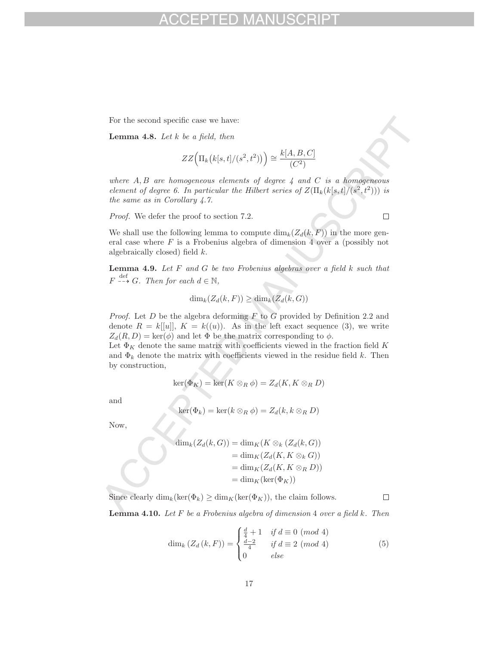For the second specific case we have:

**Lemma 4.8.** Let k be a field, then

$$
ZZ\Big(\Pi_k\big(k[s,t]/(s^2,t^2)\big)\Big) \cong \frac{k[A,B,C]}{(C^2)}
$$

where  $A, B$  are homogeneous elements of degree  $\downarrow$  and  $C$  is a homogeneous element of degree 6. In particular the Hilbert series of  $Z(\Pi_k(k[s,t]/(s^2,t^2)))$  is the same as in Corollary 4.7.

Proof. We defer the proof to section 7.2.

We shall use the following lemma to compute  $\dim_k(Z_d(k, F))$  in the more general case where  $F$  is a Frobenius algebra of dimension 4 over a (possibly not algebraically closed) field k.

**Lemma 4.9.** Let F and G be two Frobenius algebras over a field k such that  $F \xrightarrow{\text{def}} G$ . Then for each  $d \in \mathbb{N}$ ,

$$
\dim_k(Z_d(k, F)) \ge \dim_k(Z_d(k, G))
$$

*Proof.* Let  $D$  be the algebra deforming  $F$  to  $G$  provided by Definition 2.2 and denote  $R = k[[u]], K = k((u)).$  As in the left exact sequence (3), we write  $Z_d(R, D) = \text{ker}(\phi)$  and let  $\Phi$  be the matrix corresponding to  $\phi$ .

Let  $\Phi_K$  denote the same matrix with coefficients viewed in the fraction field K and  $\Phi_k$  denote the matrix with coefficients viewed in the residue field k. Then by construction,

$$
\ker(\Phi_K) = \ker(K \otimes_R \phi) = Z_d(K, K \otimes_R D)
$$

and

$$
\ker(\Phi_k) = \ker(k \otimes_R \phi) = Z_d(k, k \otimes_R D)
$$

Now,

$$
\dim_k(Z_d(k, G)) = \dim_K(K \otimes_k (Z_d(k, G))
$$
  
= 
$$
\dim_K(Z_d(K, K \otimes_k G))
$$
  
= 
$$
\dim_K(Z_d(K, K \otimes_R D))
$$
  
= 
$$
\dim_K(\ker(\Phi_K))
$$

Since clearly  $\dim_k(\ker(\Phi_k) \geq \dim_K(\ker(\Phi_K))$ , the claim follows.

**Lemma 4.10.** Let F be a Frobenius algebra of dimension 4 over a field k. Then

$$
\dim_k (Z_d (k, F)) = \begin{cases} \frac{d}{4} + 1 & \text{if } d \equiv 0 \pmod{4} \\ \frac{d-2}{4} & \text{if } d \equiv 2 \pmod{4} \\ 0 & \text{else} \end{cases}
$$
(5)

 $\Box$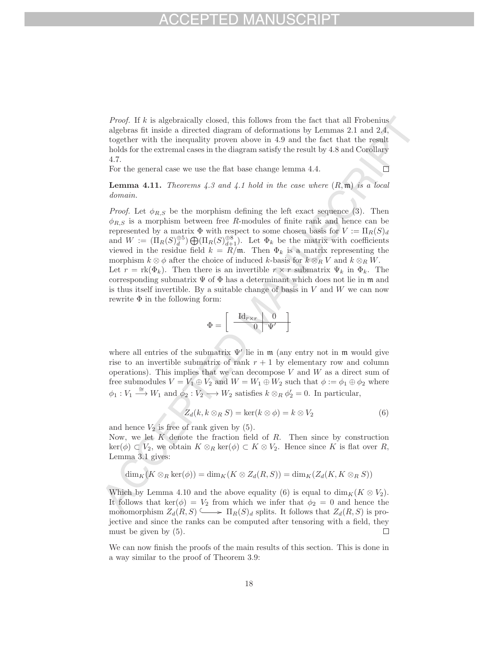*Proof.* If  $k$  is algebraically closed, this follows from the fact that all Frobenius algebras fit inside a directed diagram of deformations by Lemmas 2.1 and 2.4, together with the inequality proven above in 4.9 and the fact that the result holds for the extremal cases in the diagram satisfy the result by 4.8 and Corollary 4.7.

For the general case we use the flat base change lemma 4.4.

## $\Box$

**Lemma 4.11.** Theorems  $\angle 4.3$  and  $\angle 4.1$  hold in the case where  $(R, \mathfrak{m})$  is a local domain.

*Proof.* Let  $\phi_{R,S}$  be the morphism defining the left exact sequence (3). Then  $\phi_{R,S}$  is a morphism between free R-modules of finite rank and hence can be represented by a matrix  $\Phi$  with respect to some chosen basis for  $V := \Pi_R(S)_d$ and  $W := (\Pi_R(S)_d^{\oplus 5}) \bigoplus (\Pi_R(S)_{d+1}^{\oplus 8})$ . Let  $\Phi_k$  be the matrix with coefficients viewed in the residue field  $k = R/\mathfrak{m}$ . Then  $\Phi_k$  is a matrix representing the morphism  $k \otimes \phi$  after the choice of induced k-basis for  $k \otimes_R V$  and  $k \otimes_R W$ . Let  $r = \text{rk}(\Phi_k)$ . Then there is an invertible  $r \times r$  submatrix  $\Psi_k$  in  $\Phi_k$ . The corresponding submatrix  $\Psi$  of  $\Phi$  has a determinant which does not lie in m and is thus itself invertible. By a suitable change of basis in  $V$  and  $W$  we can now rewrite  $\Phi$  in the following form:

$$
\Phi = \left[ \begin{array}{c|c} \mathrm{Id}_{r \times r} & 0 \\ \hline 0 & \Psi' \end{array} \right]
$$

where all entries of the submatrix  $\Psi'$  lie in m (any entry not in m would give rise to an invertible submatrix of rank  $r + 1$  by elementary row and column operations). This implies that we can decompose  $V$  and  $W$  as a direct sum of free submodules  $V = V_1 \oplus V_2$  and  $W = W_1 \oplus W_2$  such that  $\phi := \phi_1 \oplus \phi_2$  where  $\phi_1: V_1 \stackrel{\cong}{\longrightarrow} W_1$  and  $\phi_2: V_2 \longrightarrow W_2$  satisfies  $k \otimes_R \phi'_2 = 0$ . In particular,

$$
Z_d(k, k \otimes_R S) = \ker(k \otimes \phi) = k \otimes V_2 \tag{6}
$$

and hence  $V_2$  is free of rank given by (5).

Now, we let  $K$  denote the fraction field of  $R$ . Then since by construction  $\ker(\phi) \subset V_2$ , we obtain  $K \otimes_R \ker(\phi) \subset K \otimes V_2$ . Hence since K is flat over R, Lemma 3.1 gives:

$$
\dim_K(K \otimes_R \ker(\phi)) = \dim_K(K \otimes Z_d(R, S)) = \dim_K(Z_d(K, K \otimes_R S))
$$

Which by Lemma 4.10 and the above equality (6) is equal to  $\dim_K(K \otimes V_2)$ . It follows that  $\text{ker}(\phi) = V_2$  from which we infer that  $\phi_2 = 0$  and hence the monomorphism  $Z_d(R, S) \longrightarrow \Pi_R(S)_d$  splits. It follows that  $Z_d(R, S)$  is projective and since the ranks can be computed after tensoring with a field, they must be given by (5).  $\Box$ 

We can now finish the proofs of the main results of this section. This is done in a way similar to the proof of Theorem 3.9: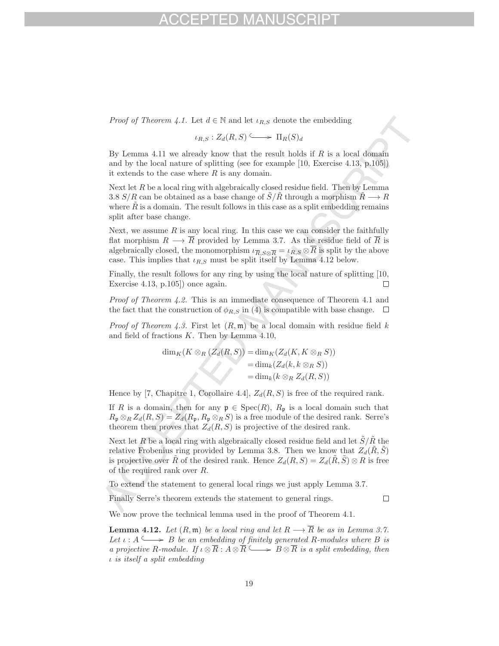*Proof of Theorem 4.1.* Let  $d \in \mathbb{N}$  and let  $\iota_{R,S}$  denote the embedding

$$
\iota_{R,S}: Z_d(R,S) \xrightarrow{\iota} \Pi_R(S)_d
$$

By Lemma 4.11 we already know that the result holds if  $R$  is a local domain and by the local nature of splitting (see for example [10, Exercise 4.13, p.105]) it extends to the case where  $R$  is any domain.

Next let  $R$  be a local ring with algebraically closed residue field. Then by Lemma 3.8 S/R can be obtained as a base change of  $S/R$  through a morphism  $R \longrightarrow R$ where  $\tilde{R}$  is a domain. The result follows in this case as a split embedding remains split after base change.

Next, we assume  $R$  is any local ring. In this case we can consider the faithfully flat morphism  $R \longrightarrow \overline{R}$  provided by Lemma 3.7. As the residue field of  $\overline{R}$  is algebraically closed, the monomorphism  $\iota_{\overline{R},S\otimes\overline{R}} = \iota_{R,S}\otimes\overline{R}$  is split by the above case. This implies that  $\iota_{R,S}$  must be split itself by Lemma 4.12 below.

Finally, the result follows for any ring by using the local nature of splitting [10, Exercise 4.13, p.105]) once again.  $\Box$ 

Proof of Theorem 4.2. This is an immediate consequence of Theorem 4.1 and the fact that the construction of  $\phi_{R,S}$  in (4) is compatible with base change.  $\Box$ 

*Proof of Theorem 4.3.* First let  $(R, \mathfrak{m})$  be a local domain with residue field k and field of fractions  $K$ . Then by Lemma 4.10,

$$
\dim_K(K \otimes_R (Z_d(R, S)) = \dim_K (Z_d(K, K \otimes_R S))
$$
  
= 
$$
\dim_k (Z_d(k, k \otimes_R S))
$$
  
= 
$$
\dim_k(k \otimes_R Z_d(R, S))
$$

Hence by [7, Chapitre 1, Corollaire 4.4],  $Z_d(R, S)$  is free of the required rank.

If R is a domain, then for any  $\mathfrak{p} \in \text{Spec}(R)$ ,  $R_{\mathfrak{p}}$  is a local domain such that  $R_p \otimes_R Z_d(R, S) = Z_d(R_p, R_p \otimes_R S)$  is a free module of the desired rank. Serre's theorem then proves that  $Z_d(R, S)$  is projective of the desired rank.

Next let R be a local ring with algebraically closed residue field and let  $\hat{S}/\hat{R}$  the relative Frobenius ring provided by Lemma 3.8. Then we know that  $Z_d(\tilde{R}, \tilde{S})$ is projective over R of the desired rank. Hence  $Z_d(R, S) = Z_d(R, \hat{S}) \otimes R$  is free of the required rank over R.

To extend the statement to general local rings we just apply Lemma 3.7.

Finally Serre's theorem extends the statement to general rings.

 $\Box$ 

We now prove the technical lemma used in the proof of Theorem 4.1.

**Lemma 4.12.** Let  $(R, \mathfrak{m})$  be a local ring and let  $R \longrightarrow \overline{R}$  be as in Lemma 3.7. Let  $\iota : A \longrightarrow B$  be an embedding of finitely generated R-modules where B is a projective R-module. If  $\iota \otimes \overline{R} : A \otimes \overline{R} \longrightarrow B \otimes \overline{R}$  is a split embedding, then ι is itself a split embedding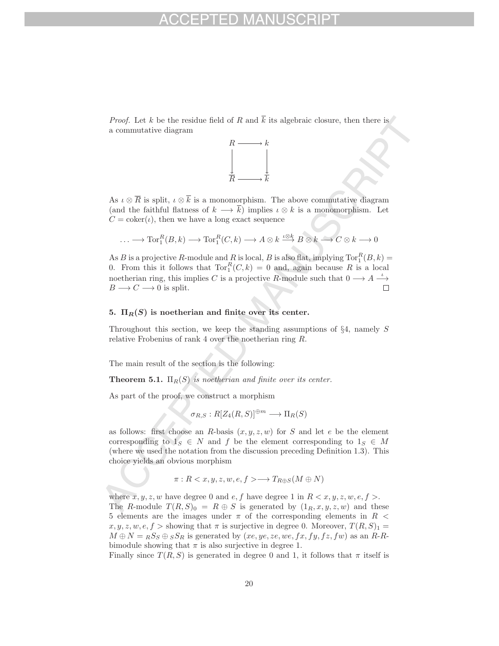*Proof.* Let k be the residue field of R and  $\overline{k}$  its algebraic closure, then there is a commutative diagram



As  $\iota \otimes \overline{R}$  is split,  $\iota \otimes \overline{k}$  is a monomorphism. The above commutative diagram (and the faithful flatness of  $k \longrightarrow \overline{k}$ ) implies  $\iota \otimes k$  is a monomorphism. Let  $C = \text{coker}(\iota)$ , then we have a long exact sequence

$$
\ldots \longrightarrow \text{Tor}_{1}^{R}(B,k) \longrightarrow \text{Tor}_{1}^{R}(C,k) \longrightarrow A \otimes k \stackrel{\iota \otimes k}{\longrightarrow} B \otimes k \longrightarrow C \otimes k \longrightarrow 0
$$

As B is a projective R-module and R is local, B is also flat, implying  $\text{Tor}_{1}^{R}(B,k)$  = 0. From this it follows that  $\text{Tor}_{1}^{R}(C, k) = 0$  and, again because R is a local noetherian ring, this implies C is a projective R-module such that  $0 \longrightarrow A \stackrel{\iota}{\longrightarrow} B \longrightarrow C \longrightarrow 0$  is split.  $B \longrightarrow C \longrightarrow 0$  is split.

## **5.**  $\Pi_R(S)$  is noetherian and finite over its center.

Throughout this section, we keep the standing assumptions of §4, namely S relative Frobenius of rank 4 over the noetherian ring R.

The main result of the section is the following:

**Theorem 5.1.**  $\Pi_R(S)$  is noetherian and finite over its center.

As part of the proof, we construct a morphism

$$
\sigma_{R,S}:R[Z_4(R,S)]^{\oplus m}\longrightarrow \Pi_R(S)
$$

as follows: first choose an R-basis  $(x, y, z, w)$  for S and let e be the element corresponding to  $1_S \in N$  and f be the element corresponding to  $1_S \in M$ (where we used the notation from the discussion preceding Definition 1.3). This choice yields an obvious morphism

$$
\pi: R < x, y, z, w, e, f > \longrightarrow T_{R \oplus S}(M \oplus N)
$$

where  $x, y, z, w$  have degree 0 and  $e, f$  have degree 1 in  $R < x, y, z, w, e, f >$ . The R-module  $T(R, S)_0 = R \oplus S$  is generated by  $(1_R, x, y, z, w)$  and these 5 elements are the images under  $\pi$  of the corresponding elements in  $R$  <  $x, y, z, w, e, f >$  showing that  $\pi$  is surjective in degree 0. Moreover,  $T(R, S)<sub>1</sub>$  $M \oplus N = {}_R S_S \oplus {}_S S_R$  is generated by  $(xe, ye, ze, we, fx, fy, fz, fw)$  as an R-Rbimodule showing that  $\pi$  is also surjective in degree 1.

Finally since  $T(R, S)$  is generated in degree 0 and 1, it follows that  $\pi$  itself is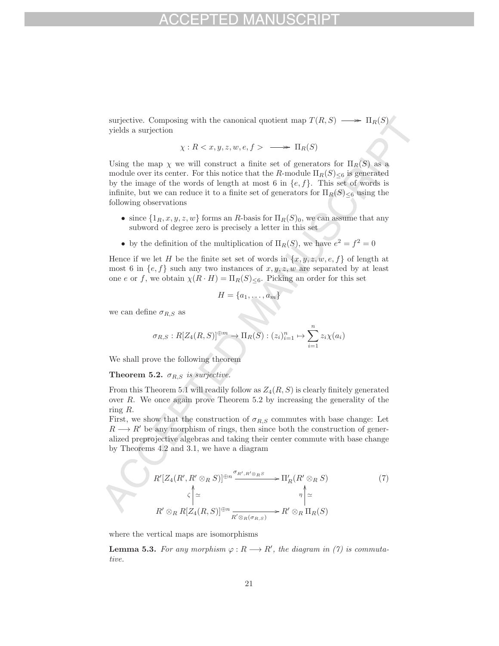surjective. Composing with the canonical quotient map  $T(R, S) \longrightarrow \Pi_R(S)$ yields a surjection

$$
\chi: R < x, y, z, w, e, f > \longrightarrow \Pi_R(S)
$$

Using the map  $\chi$  we will construct a finite set of generators for  $\Pi_R(S)$  as a module over its center. For this notice that the R-module  $\Pi_R(S)_{\leq 6}$  is generated by the image of the words of length at most 6 in  $\{e, f\}$ . This set of words is infinite, but we can reduce it to a finite set of generators for  $\Pi_R(S)_{\leq 6}$  using the following observations

- since  $\{1_R, x, y, z, w\}$  forms an R-basis for  $\Pi_R(S)_0$ , we can assume that any subword of degree zero is precisely a letter in this set
- by the definition of the multiplication of  $\Pi_R(S)$ , we have  $e^2 = f^2 = 0$

Hence if we let H be the finite set set of words in  $\{x, y, z, w, e, f\}$  of length at most 6 in  $\{e, f\}$  such any two instances of  $x, y, z, w$  are separated by at least one e or f, we obtain  $\chi(R \cdot H) = \Pi_R(S)_{\leq 6}$ . Picking an order for this set

$$
H = \{a_1, \ldots, a_m\}
$$

we can define  $\sigma_{R,S}$  as

$$
\sigma_{R,S}: R[Z_4(R,S)]^{\oplus m} \to \Pi_R(S): (z_i)_{i=1}^n \mapsto \sum_{i=1}^n z_i \chi(a_i)
$$

We shall prove the following theorem

## **Theorem 5.2.**  $\sigma_{R,S}$  is surjective.

From this Theorem 5.1 will readily follow as  $Z_4(R, S)$  is clearly finitely generated over R. We once again prove Theorem 5.2 by increasing the generality of the ring R.

First, we show that the construction of  $\sigma_{R,S}$  commutes with base change: Let  $R \longrightarrow R'$  be any morphism of rings, then since both the construction of generalized preprojective algebras and taking their center commute with base change by Theorems 4.2 and 3.1, we have a diagram

$$
R'[Z_4(R', R' \otimes_R S)]^{\oplus n} \xrightarrow{\sigma_{R', R' \otimes_R S}} \Pi'_R(R' \otimes_R S)
$$
  

$$
\zeta \Big| \simeq \eta \Big| \simeq
$$
  

$$
R' \otimes_R R[Z_4(R, S)]^{\oplus n} \xrightarrow{R' \otimes_R (\sigma_{R, S})} R' \otimes_R \Pi_R(S)
$$
  

$$
(7)
$$

where the vertical maps are isomorphisms

**Lemma 5.3.** For any morphism  $\varphi : R \longrightarrow R'$ , the diagram in (7) is commutative.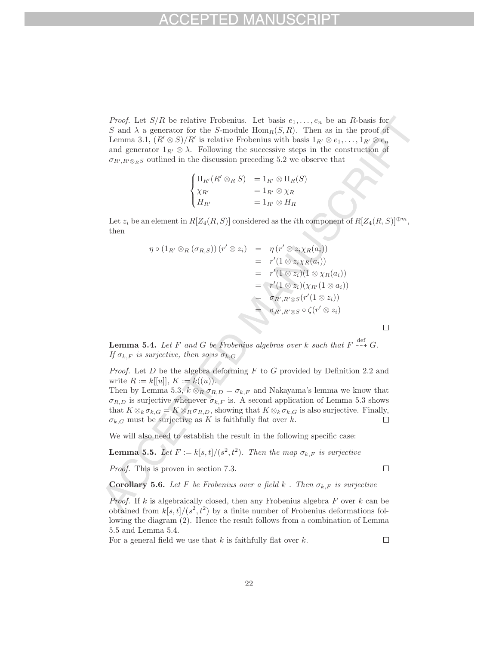*Proof.* Let  $S/R$  be relative Frobenius. Let basis  $e_1, \ldots, e_n$  be an R-basis for S and  $\lambda$  a generator for the S-module  $\text{Hom}_R(S, R)$ . Then as in the proof of Lemma 3.1,  $(R' \otimes S)/R'$  is relative Frobenius with basis  $1_{R'} \otimes e_1, \ldots, 1_{R'} \otimes e_n$ and generator  $1_{R'} \otimes \lambda$ . Following the successive steps in the construction of  $\sigma_{R',R'\otimes_R S}$  outlined in the discussion preceding 5.2 we observe that

$$
\begin{cases}\n\Pi_{R'}(R' \otimes_R S) &= 1_{R'} \otimes \Pi_R(S) \\
\chi_{R'} &= 1_{R'} \otimes \chi_R \\
H_{R'} &= 1_{R'} \otimes H_R\n\end{cases}
$$

Let  $z_i$  be an element in  $R[Z_4(R, S)]$  considered as the *i*th component of  $R[Z_4(R, S)]^{\oplus m}$ , then

$$
\eta \circ (1_{R'} \otimes_R (\sigma_{R,S})) (r' \otimes z_i) = \eta (r' \otimes z_i \chi_R(a_i))
$$
  
\n
$$
= r'(1 \otimes z_i \chi_R(a_i))
$$
  
\n
$$
= r'(1 \otimes z_i) (1 \otimes \chi_R(a_i))
$$
  
\n
$$
= r'(1 \otimes z_i) (\chi_{R'}(1 \otimes a_i))
$$
  
\n
$$
= \sigma_{R',R' \otimes S} (r'(1 \otimes z_i))
$$
  
\n
$$
= \sigma_{R',R' \otimes S} \circ \zeta(r' \otimes z_i)
$$

**Lemma 5.4.** Let F and G be Frobenius algebras over k such that  $F \dashrightarrow^{\text{def}} G$ . If  $\sigma_{k,F}$  is surjective, then so is  $\sigma_{k,G}$ 

*Proof.* Let  $D$  be the algebra deforming  $F$  to  $G$  provided by Definition 2.2 and write  $R := k[[u]], K := k((u)).$ 

Then by Lemma 5.3,  $k \otimes_R \sigma_{R,D} = \sigma_{k,F}$  and Nakayama's lemma we know that  $\sigma_{R,D}$  is surjective whenever  $\sigma_{k,F}$  is. A second application of Lemma 5.3 shows that  $K \otimes_k \sigma_{k,G} = K \otimes_R \sigma_{R,D}$ , showing that  $K \otimes_k \sigma_{k,G}$  is also surjective. Finally,  $\sigma_k$  and must be surjective as K is faithfully flat over k.  $\sigma_{k,G}$  must be surjective as K is faithfully flat over k.

We will also need to establish the result in the following specific case:

**Lemma 5.5.** Let  $F := k[s, t]/(s^2, t^2)$ . Then the map  $\sigma_{k,F}$  is surjective

Proof. This is proven in section 7.3.

**Corollary 5.6.** Let F be Frobenius over a field k. Then  $\sigma_{k,F}$  is surjective

*Proof.* If k is algebraically closed, then any Frobenius algebra  $F$  over  $k$  can be obtained from  $k[s, t]/(s^2, t^2)$  by a finite number of Frobenius deformations following the diagram (2). Hence the result follows from a combination of Lemma 5.5 and Lemma 5.4.

For a general field we use that  $\overline{k}$  is faithfully flat over k.

 $\Box$ 

 $\Box$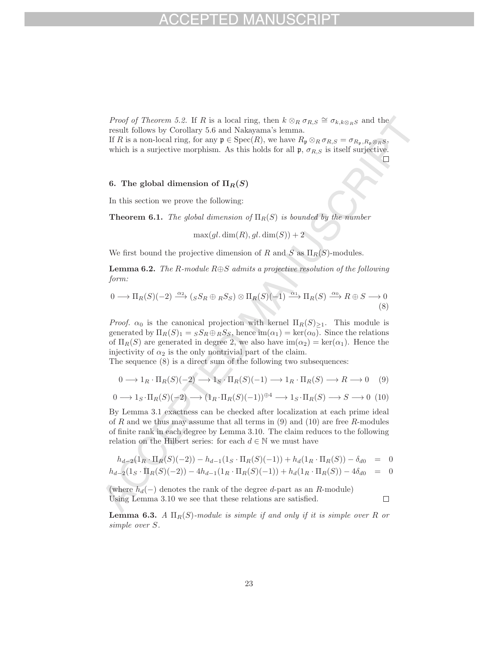*Proof of Theorem 5.2.* If R is a local ring, then  $k \otimes_R \sigma_{R,S} \cong \sigma_{k,k \otimes_R S}$  and the result follows by Corollary 5.6 and Nakayama's lemma.

If R is a non-local ring, for any  $\mathfrak{p} \in \text{Spec}(R)$ , we have  $R_{\mathfrak{p}} \otimes_R \sigma_{R,S} = \sigma_{R_{\mathfrak{p}},R_{\mathfrak{p}} \otimes_R S}$ , which is a surjective morphism. As this holds for all  $\mathfrak{p}, \sigma_{R,S}$  is itself surjective.  $\Box$ 

## **6.** The global dimension of  $\Pi_R(S)$

In this section we prove the following:

**Theorem 6.1.** The global dimension of  $\Pi_R(S)$  is bounded by the number

 $\max(ql \cdot \dim(R), gl \cdot \dim(S)) + 2$ 

We first bound the projective dimension of R and S as  $\Pi_R(S)$ -modules.

**Lemma 6.2.** The R-module R⊕S admits a projective resolution of the following form:

$$
0 \longrightarrow \Pi_R(S)(-2) \xrightarrow{\alpha_2} ({}_{S}S_R \oplus {}_{R}S_S) \otimes \Pi_R(S)(-1) \xrightarrow{\alpha_1} \Pi_R(S) \xrightarrow{\alpha_0} R \oplus S \longrightarrow 0
$$
\n(8)

*Proof.*  $\alpha_0$  is the canonical projection with kernel  $\Pi_R(S)_{\geq 1}$ . This module is generated by  $\Pi_R(S)_1 = {}_S S_R \oplus_R S_S$ , hence  $\text{im}(\alpha_1) = \text{ker}(\alpha_0)$ . Since the relations of  $\Pi_R(S)$  are generated in degree 2, we also have  $\text{im}(\alpha_2) = \text{ker}(\alpha_1)$ . Hence the injectivity of  $\alpha_2$  is the only nontrivial part of the claim.

The sequence (8) is a direct sum of the following two subsequences:

$$
0 \longrightarrow 1_R \cdot \Pi_R(S)(-2) \longrightarrow 1_S \cdot \Pi_R(S)(-1) \longrightarrow 1_R \cdot \Pi_R(S) \longrightarrow R \longrightarrow 0 \quad (9)
$$

$$
0 \longrightarrow 1_{S} \cdot \Pi_{R}(S)(-2) \longrightarrow (1_{R} \cdot \Pi_{R}(S)(-1))^{\oplus 4} \longrightarrow 1_{S} \cdot \Pi_{R}(S) \longrightarrow S \longrightarrow 0 \tag{10}
$$

By Lemma 3.1 exactness can be checked after localization at each prime ideal of R and we thus may assume that all terms in  $(9)$  and  $(10)$  are free R-modules of finite rank in each degree by Lemma 3.10. The claim reduces to the following relation on the Hilbert series: for each  $d \in \mathbb{N}$  we must have

$$
h_{d-2}(1_R \cdot \Pi_R(S)(-2)) - h_{d-1}(1_S \cdot \Pi_R(S)(-1)) + h_d(1_R \cdot \Pi_R(S)) - \delta_{d0} = 0
$$

$$
h_{d-2}(1_S \cdot \Pi_R(S)(-2)) - 4h_{d-1}(1_R \cdot \Pi_R(S)(-1)) + h_d(1_R \cdot \Pi_R(S)) - 4\delta_{d0} = 0
$$

 $\Box$ 

(where  $h_d(-)$  denotes the rank of the degree d-part as an R-module) Using Lemma 3.10 we see that these relations are satisfied.

**Lemma 6.3.** A  $\Pi_R(S)$ -module is simple if and only if it is simple over R or simple over S.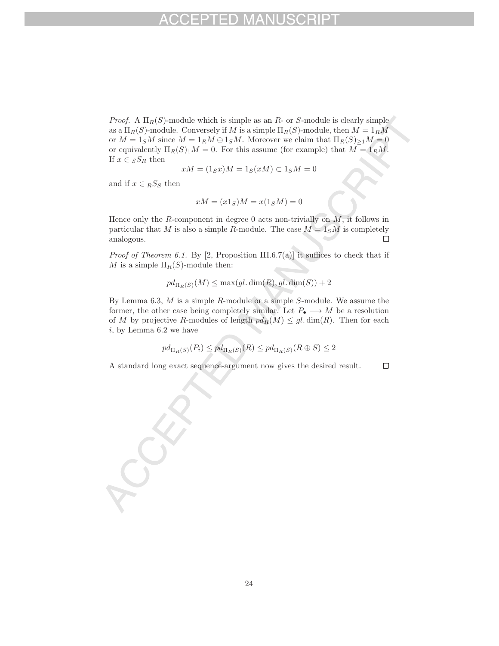*Proof.* A  $\Pi_R(S)$ -module which is simple as an R- or S-module is clearly simple as a  $\Pi_R(S)$ -module. Conversely if M is a simple  $\Pi_R(S)$ -module, then  $M = 1_R M$ or  $M = 1_S M$  since  $M = 1_R M \oplus 1_S M$ . Moreover we claim that  $\Pi_R(S)_{\geq 1} M = 0$ or equivalently  $\Pi_R(S)_1 M = 0$ . For this assume (for example) that  $M = 1_R M$ . If  $x \in {}_S S_R$  then

$$
xM = (1_Sx)M = 1_S(xM) \subset 1_SM = 0
$$

and if  $x \in_R S_S$  then

$$
xM = (x1S)M = x(1SM) = 0
$$

Hence only the R-component in degree  $0$  acts non-trivially on  $M$ , it follows in particular that M is also a simple R-module. The case  $M = 1<sub>S</sub>M$  is completely analogous.  $\Box$ 

*Proof of Theorem 6.1.* By [2, Proposition III.6.7(a)] it suffices to check that if M is a simple  $\Pi_R(S)$ -module then:

$$
pd_{\Pi_R(S)}(M) \le \max(gl.\dim(R), gl.\dim(S)) + 2
$$

By Lemma  $6.3$ ,  $M$  is a simple  $R$ -module or a simple  $S$ -module. We assume the former, the other case being completely similar. Let  $P_{\bullet} \longrightarrow M$  be a resolution of M by projective R-modules of length  $pd_R(M) \leq gl \cdot \dim(R)$ . Then for each  $i$ , by Lemma 6.2 we have

$$
pd_{\Pi_R(S)}(P_i) \leq pd_{\Pi_R(S)}(R) \leq pd_{\Pi_R(S)}(R \oplus S) \leq 2
$$

A standard long exact sequence-argument now gives the desired result.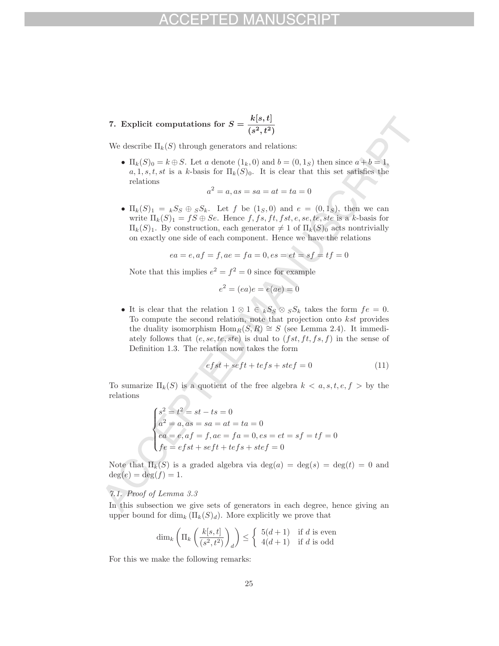**7.** Explicit computations for  $S = \frac{k[s,t]}{(s^2,t^2)}$ 

We describe  $\Pi_k(S)$  through generators and relations:

•  $\Pi_k(S)_0 = k \oplus S$ . Let a denote  $(1_k, 0)$  and  $b = (0, 1_S)$  then since  $a + b = 1$ ,  $a, 1, s, t, st$  is a k-basis for  $\Pi_k(S)_0$ . It is clear that this set satisfies the relations

$$
a^2 = a, as = sa = at = ta = 0
$$

•  $\Pi_k(S)_1 = {}_kS_S \oplus {}_S S_k$ . Let f be  $(1_S, 0)$  and  $e = (0, 1_S)$ , then we can write  $\Pi_k(S)_1 = fS \oplus Se$ . Hence  $f, fs, ft, fs, e, se, te, ste$  is a k-basis for  $\Pi_k(S)_1$ . By construction, each generator  $\neq 1$  of  $\Pi_k(S)_0$  acts nontrivially on exactly one side of each component. Hence we have the relations

$$
ea=e, af=f, ae=fa=0, es=et=sf=tf=0\\
$$

Note that this implies  $e^2 = f^2 = 0$  since for example

$$
e^2 = (ea)e = e(ae) = 0
$$

• It is clear that the relation  $1 \otimes 1 \in kS_S \otimes sS_k$  takes the form  $fe = 0$ . To compute the second relation, note that projection onto kst provides the duality isomorphism  $\text{Hom}_R(S, R) \cong S$  (see Lemma 2.4). It immediately follows that  $(e, se, te, ste)$  is dual to  $(fst, ft, fs, f)$  in the sense of Definition 1.3. The relation now takes the form

$$
efst + seft + tefs + stef = 0 \tag{11}
$$

To sumarize  $\Pi_k(S)$  is a quotient of the free algebra  $k < a, s, t, e, f > b$  the relations

$$
\begin{cases}\ns^2 = t^2 = st - ts = 0 \\
a^2 = a, as = sa = at = ta = 0 \\
ea = e, af = f, ae = fa = 0, es = et = sf = tf = 0 \\
fe = efst + seft + tefs + stef = 0\n\end{cases}
$$

Note that  $\Pi_k(S)$  is a graded algebra via  $\deg(a) = \deg(s) = \deg(t) = 0$  and  $deg(e) = deg(f) = 1.$ 

## 7.1. Proof of Lemma 3.3

In this subsection we give sets of generators in each degree, hence giving an upper bound for  $\dim_k (\Pi_k(S)_d)$ . More explicitly we prove that

$$
\dim_k \left( \Pi_k \left( \frac{k[s, t]}{(s^2, t^2)} \right)_d \right) \le \begin{cases} 5(d+1) & \text{if } d \text{ is even} \\ 4(d+1) & \text{if } d \text{ is odd} \end{cases}
$$

For this we make the following remarks: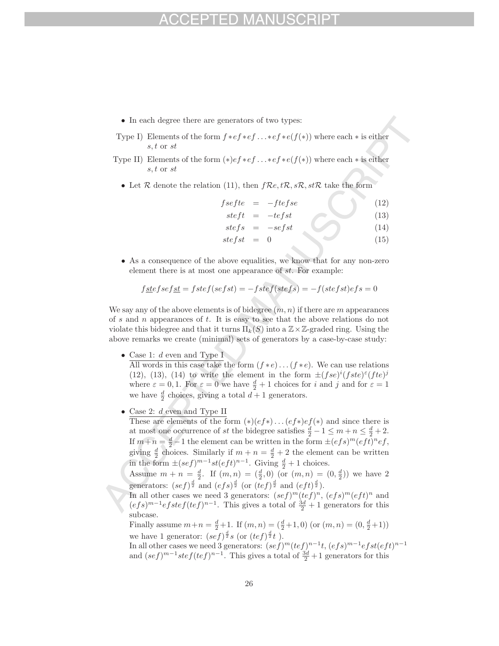- In each degree there are generators of two types:
- Type I) Elements of the form  $f * ef * ef ... *ef * e(f(*))$  where each  $*$  is either s, t or st
- Type II) Elements of the form  $(*)ef * ef \dots *ef * e(f(*))$  where each  $*$  is either s, t or st
	- Let  $R$  denote the relation (11), then  $fRe, tR, sR, stR$  take the form

$$
fsefte = -ftefse
$$
 (12)

$$
steft = -tefst \tag{13}
$$

$$
stefs = -sefst \tag{14}
$$

- $\textit{stefst} = 0$  (15)
- As a consequence of the above equalities, we know that for any non-zero element there is at most one appearance of st. For example:

$$
f\underline{ste}fse f\underline{st} = fste f (se fst) = -fste f (ste f s) = -f (ste fst) e f s = 0
$$

We say any of the above elements is of bidegree  $(m, n)$  if there are m appearances of s and n appearances of t. It is easy to see that the above relations do not violate this bidegree and that it turns  $\Pi_k(S)$  into a  $\mathbb{Z}\times\mathbb{Z}$ -graded ring. Using the above remarks we create (minimal) sets of generators by a case-by-case study:

• Case 1: d even and Type I

All words in this case take the form  $(f * e) \dots (f * e)$ . We can use relations (12), (13), (14) to write the element in the form  $\pm (fse)^{i}(fste)^{\varepsilon}(fte)^{j}$ where  $\varepsilon = 0, 1$ . For  $\varepsilon = 0$  we have  $\frac{d}{2} + 1$  choices for i and j and for  $\varepsilon = 1$ we have  $\frac{d}{2}$  choices, giving a total  $\vec{d+1}$  generators.

• Case 2: d even and Type II

These are elements of the form  $(*) (ef*) \dots (ef*) ef(*)$  and since there is at most one occurrence of st the bidegree satisfies  $\frac{d}{2} - 1 \le m + n \le \frac{d}{2} + 2$ . If  $m+n = \frac{d}{2}-1$  the element can be written in the form  $\pm (efs)^m (eft)^n ef$ , giving  $\frac{d}{2}$  choices. Similarly if  $m + n = \frac{d}{2} + 2$  the element can be written in the form  $\pm (sef)^{m-1}st(eft)^{n-1}$ . Giving  $\frac{d}{2}+1$  choices.

Assume  $m + n = \frac{d}{2}$ . If  $(m, n) = (\frac{d}{2}, 0)$  (or  $(m, n) = (0, \frac{d}{2})$ ) we have 2 generators:  $(sef)^{\frac{d}{2}}$  and  $(efs)^{\frac{d}{2}}$  (or  $(tef)^{\frac{d}{2}}$  and  $(eft)^{\frac{d}{2}}$ ).

In all other cases we need 3 generators:  $(sef)^m(tef)^n$ ,  $(efs)^m(eft)^n$  and  $(efs)^{m-1}efstef(tef)^{n-1}$ . This gives a total of  $\frac{3d}{2}+1$  generators for this subcase.

Finally assume  $m+n = \frac{d}{2}+1$ . If  $(m, n) = (\frac{d}{2}+1, 0)$  (or  $(m, n) = (0, \frac{d}{2}+1)$ ) we have 1 generator:  $(sef)^{\frac{d}{2}}s$  (or  $(tef)^{\frac{d}{2}}t$ ).

In all other cases we need 3 generators:  $(sef)^m(tef)^{n-1}t$ ,  $(efs)^{m-1}efst(eft)^{n-1}$ and  $(sef)^{m-1}stef(tef)^{n-1}$ . This gives a total of  $\frac{3d}{2}+1$  generators for this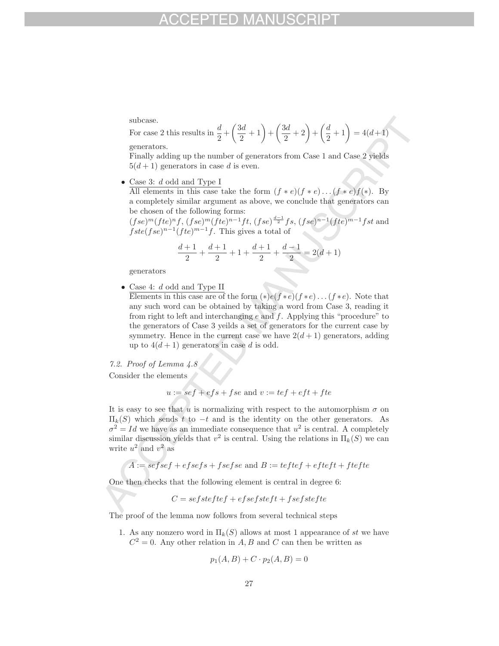subcase.

For case 2 this results in  $\frac{d}{2}$  +  $\left(\frac{3d}{2}+1\right)+\left(\frac{3d}{2}+2\right)+\left(\frac{d}{2}+1\right)=4(d+1)$ generators.

Finally adding up the number of generators from Case 1 and Case 2 yields  $5(d+1)$  generators in case d is even.

• Case 3: d odd and Type I

All elements in this case take the form  $(f * e)(f * e)...(f * e)f(*)$ . By a completely similar argument as above, we conclude that generators can be chosen of the following forms:

 $(fse)^m(fte)^nf$ ,  $(fse)^m(fte)^{n-1}ft$ ,  $(fse)^{\frac{d-1}{2}}fs$ ,  $(fse)^{n-1}(fte)^{m-1}fst$  and  $fste(fse)^{n-1}(fte)^{m-1}f$ . This gives a total of

$$
\frac{d+1}{2} + \frac{d+1}{2} + 1 + \frac{d+1}{2} + \frac{d-1}{2} = 2(d+1)
$$

generators

• Case 4: d odd and Type II

Elements in this case are of the form  $(*)e(f*e)(f*e)...(f*e)$ . Note that any such word can be obtained by taking a word from Case 3, reading it from right to left and interchanging  $e$  and  $f$ . Applying this "procedure" to the generators of Case 3 yeilds a set of generators for the current case by symmetry. Hence in the current case we have  $2(d+1)$  generators, adding up to  $4(d+1)$  generators in case d is odd.

7.2. Proof of Lemma 4.8 Consider the elements

$$
u := se f + e f s + f se
$$
 and  $v := te f + e f t + f t e$ 

It is easy to see that u is normalizing with respect to the automorphism  $\sigma$  on  $\Pi_k(S)$  which sends t to  $-t$  and is the identity on the other generators. As  $\sigma^2 = Id$  we have as an immediate consequence that  $u^2$  is central. A completely similar discussion yields that  $v^2$  is central. Using the relations in  $\Pi_k(S)$  we can write  $u^2$  and  $v^2$  as

$$
A := \mathit{sefsef} + \mathit{efsefs} + \mathit{fsefse} \text{ and } B := \mathit{teftef} + \mathit{efteft} + \mathit{ftefte}
$$

One then checks that the following element is central in degree 6:

$$
C = sefsteftef + efsefsteft + fsefstefte
$$

The proof of the lemma now follows from several technical steps

1. As any nonzero word in  $\Pi_k(S)$  allows at most 1 appearance of st we have  $C^2 = 0$ . Any other relation in A, B and C can then be written as

$$
p_1(A, B) + C \cdot p_2(A, B) = 0
$$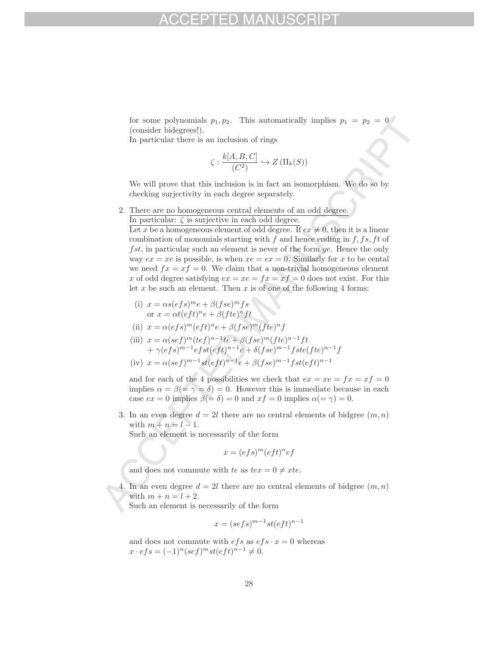for some polynomials  $p_1, p_2$ . This automatically implies  $p_1 = p_2 = 0$ (consider bidegrees!).

In particular there is an inclusion of rings

$$
\zeta : \frac{k[A, B, C]}{(C^2)} \hookrightarrow Z(\Pi_k(S))
$$

We will prove that this inclusion is in fact an isomorphism. We do so by checking surjectivity in each degree separately.

2. There are no homogeneous central elements of an odd degree. In particular:  $\zeta$  is surjective in each odd degree.

Let x be a homogeneous element of odd degree. If  $ex \neq 0$ , then it is a linear combination of monomials starting with f and hence ending in  $f, fs, ft$  of  $fst$ , in particular such an element is never of the form ye. Hence the only way  $ex = xe$  is possible, is when  $xe = ex = 0$ . Similarly for x to be cental we need  $fx = xf = 0$ . We claim that a non-trivial homogeneous element x of odd degree satisfying  $ex = xe = fx = xf = 0$  does not exist. For this let x be such an element. Then x is of one of the following 4 forms:

(i) 
$$
x = \alpha s (efs)^m e + \beta (fse)^m fs
$$
  
or  $x = \alpha t (eft)^n e + \beta (fte)^n ft$ 

(ii) 
$$
x = \alpha(efs)^m(eft)^ne + \beta(fse)^m(fte)^nf
$$

(iii)  $x = \alpha (sef)^m (tef)^{n-1}te + \beta (fse)^m (fte)^{n-1}ft$  $+ \gamma (efs)^{m-1}efst(eft)^{n-1}e + \delta (fse)^{m-1}fste(fte)^{n-1}f$ 

(iv) 
$$
x = \alpha (sef)^{m-1}st(eft)^{n-1}e + \beta (fse)^{m-1}fst(eft)^{n-1}
$$

and for each of the 4 possibilities we check that  $ex = xe = fx = xf = 0$ implies  $\alpha = \beta (= \gamma = \delta) = 0$ . However this is immediate because in each case  $ex = 0$  implies  $\beta(=\delta) = 0$  and  $xf = 0$  implies  $\alpha(=\gamma) = 0$ .

3. In an even degree  $d = 2l$  there are no central elements of bidgree  $(m, n)$ with  $m + n = l - 1$ .

Such an element is necessarily of the form

$$
x = (efs)^m (eft)^n ef
$$

and does not commute with te as  $te x = 0 \neq xte$ .

4. In an even degree  $d = 2l$  there are no central elements of bidgree  $(m, n)$ with  $m + n = l + 2$ .

Such an element is necessarily of the form

$$
x = (sefs)^{m-1}st(eft)^{n-1}
$$

and does not commute with  $efs$  as  $efs \cdot x = 0$  whereas  $x \cdot efs = (-1)^n (sef)^m st(eft)^{n-1} \neq 0.$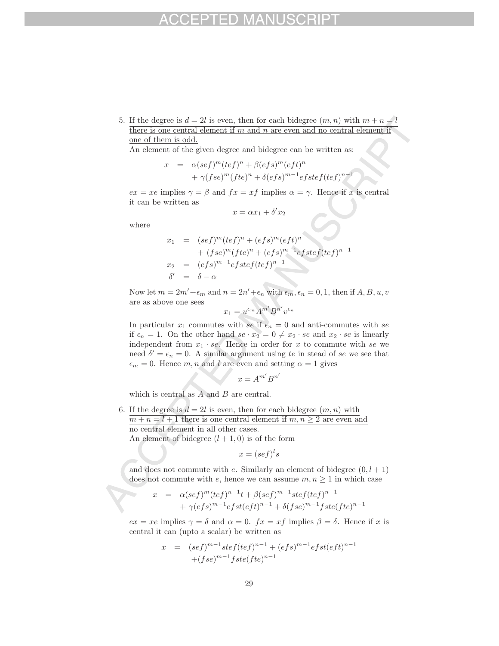5. If the degree is  $d = 2l$  is even, then for each bidegree  $(m, n)$  with  $m + n = l$ there is one central element if  $m$  and  $n$  are even and no central element if one of them is odd.

An element of the given degree and bidegree can be written as:

$$
x = \alpha (sef)^m (tef)^n + \beta (efs)^m (eft)^n
$$
  
+  $\gamma (fse)^m (fte)^n + \delta (efs)^{m-1} e fstef (tef)^{n-1}$ 

 $ex = xe$  implies  $\gamma = \beta$  and  $fx = xf$  implies  $\alpha = \gamma$ . Hence if x is central it can be written as

$$
x = \alpha x_1 + \delta' x_2
$$

where

$$
x_1 = (sef)^m (tef)^n + (efs)^m (eft)^n
$$
  
+ 
$$
(fse)^m (fte)^n + (efs)^{m-1}efstef (tef)^{n-1}
$$
  

$$
x_2 = (efs)^{m-1}efstef (tef)^{n-1}
$$
  

$$
\delta' = \delta - \alpha
$$

Now let  $m = 2m' + \epsilon_m$  and  $n = 2n' + \epsilon_n$  with  $\epsilon_m, \epsilon_n = 0, 1$ , then if  $A, B, u, v$ are as above one sees

$$
x_1 = u^{\epsilon_m} A^{m'} B^{n'} v^{\epsilon_n}
$$

In particular  $x_1$  commutes with se if  $\epsilon_n = 0$  and anti-commutes with se if  $\epsilon_n = 1$ . On the other hand  $se \cdot x_2 = 0 \neq x_2 \cdot se$  and  $x_2 \cdot se$  is linearly independent from  $x_1 \cdot se$ . Hence in order for x to commute with se we need  $\delta' = \epsilon_n = 0$ . A similar argument using te in stead of se we see that  $\epsilon_m = 0$ . Hence m, n and l are even and setting  $\alpha = 1$  gives

$$
x = A^{m'} B^{n'}
$$

which is central as  $A$  and  $B$  are central.

6. If the degree is  $d = 2l$  is even, then for each bidegree  $(m, n)$  with  $m + n = l + 1$  there is one central element if  $m, n \geq 2$  are even and no central element in all other cases.

An element of bidegree  $(l+1, 0)$  is of the form

$$
x = (sef)^{l} s
$$

and does not commute with e. Similarly an element of bidegree  $(0, l + 1)$ does not commute with e, hence we can assume  $m, n \geq 1$  in which case

$$
x = \alpha (sef)^m (tef)^{n-1}t + \beta (sef)^{m-1}stef (tef)^{n-1} + \gamma (efs)^{m-1}efst(eft)^{n-1} + \delta (fse)^{m-1}fste (fte)^{n-1}
$$

 $ex = xe$  implies  $\gamma = \delta$  and  $\alpha = 0$ .  $fx = xf$  implies  $\beta = \delta$ . Hence if x is central it can (upto a scalar) be written as

$$
x = (sef)^{m-1}stef(tef)^{n-1} + (efs)^{m-1}efst(eft)^{n-1} + (fse)^{m-1}fste(fte)^{n-1}
$$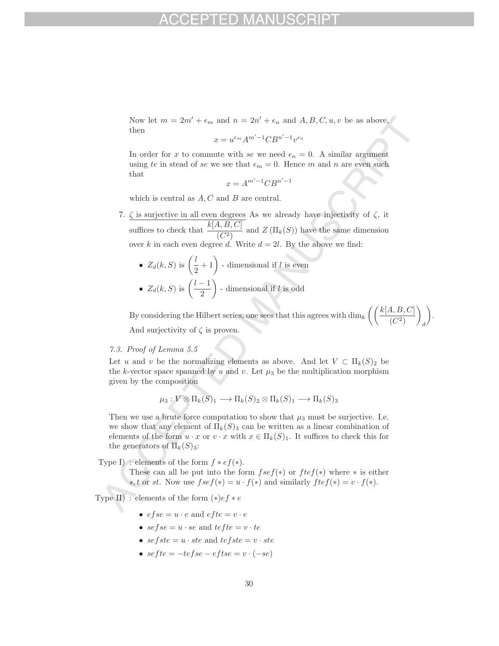Now let  $m = 2m' + \epsilon_m$  and  $n = 2n' + \epsilon_n$  and  $A, B, C, u, v$  be as above, then

$$
x = u^{\epsilon_m} A^{m'-1} C B^{n'-1} v^{\epsilon_n}
$$

In order for x to commute with se we need  $\epsilon_n = 0$ . A similar argument using te in stead of se we see that  $\epsilon_m = 0$ . Hence m and n are even such that

$$
x = A^{m'-1} C B^{n'-1}
$$

which is central as  $A, C$  and  $B$  are central.

- 7.  $\zeta$  is surjective in all even degrees As we already have injectivity of  $\zeta$ , it suffices to check that  $\frac{k[A, B, C]}{(C^2)}$  and  $Z(\Pi_k(S))$  have the same dimension over k in each even degree d. Write  $d = 2l$ . By the above we find:
	- $Z_d(k, S)$  is  $\left(\frac{l}{2} + 1\right)$  dimensional if l is even •  $Z_d(k, S)$  is  $\left(\frac{l-1}{2}\right)$ ) - dimensional if  $l$  is odd

By considering the Hilbert series, one sees that this agrees with  $\dim_k \left( \left( \frac{k[A,B,C]}{(A,B)} \right) \right)$  $\overline{(C^2)}$  $\overline{\phantom{0}}$ d . And surjectivity of  $\zeta$  is proven.

## 7.3. Proof of Lemma 5.5

Let u and v be the normalizing elements as above. And let  $V \subset \Pi_k(S)_2$  be the k-vector space spanned by u and v. Let  $\mu_3$  be the multiplication morphism given by the composition

$$
\mu_3: V \otimes \Pi_k(S)_1 \longrightarrow \Pi_k(S)_2 \otimes \Pi_k(S)_1 \longrightarrow \Pi_k(S)_3
$$

Then we use a brute force computation to show that  $\mu_3$  must be surjective. I.e. we show that any element of  $\Pi_k(S)_3$  can be written as a linear combination of elements of the form  $u \cdot x$  or  $v \cdot x$  with  $x \in \Pi_k(S)_1$ . It suffices to check this for the generators of  $\Pi_k(S)_3$ :

Type I) : elements of the form  $f * ef(*)$ .

These can all be put into the form  $f \, se \, f(*)$  or  $f \, t \, e \, f(*)$  where  $*$  is either s, t or st. Now use  $fsef(*) = u \cdot f(*)$  and similarly  $ftef(*) = v \cdot f(*)$ .

Type II) : elements of the form  $(*)ef * e$ 

- $efse = u \cdot e$  and  $efte = v \cdot e$
- $se$  f  $se = u \cdot se$  and  $te$  f  $te = v \cdot te$
- $sefste = u \cdot ste$  and  $tefste = v \cdot ste$
- $sefte = -tefse eftse = v \cdot (-se)$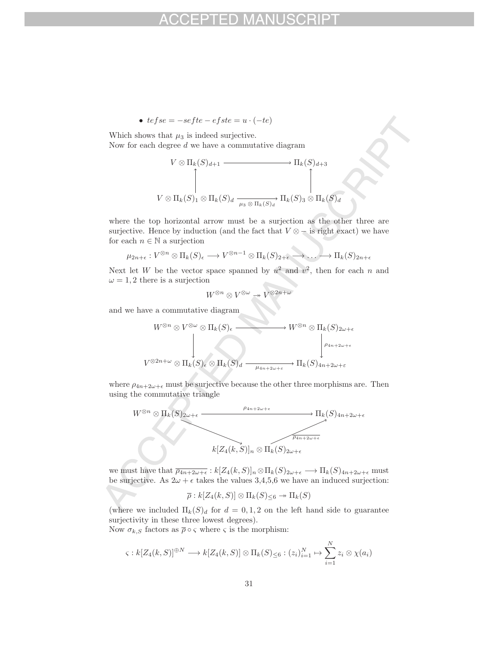• 
$$
tefse = -sefte - efste = u \cdot (-te)
$$

Which shows that  $\mu_3$  is indeed surjective.

Now for each degree  $d$  we have a commutative diagram

$$
V \otimes \Pi_k(S)_{d+1} \longrightarrow \Pi_k(S)_{d+3}
$$
  
\n
$$
V \otimes \Pi_k(S)_1 \otimes \Pi_k(S)_d \xrightarrow[\mu_3 \otimes \Pi_k(S)_d]{} \Pi_k(S)_3 \otimes \Pi_k(S)_d
$$

where the top horizontal arrow must be a surjection as the other three are surjective. Hence by induction (and the fact that  $V \otimes -$  is right exact) we have for each  $n \in \mathbb{N}$  a surjection

$$
\mu_{2n+\epsilon}: V^{\otimes n}\otimes \Pi_k(S)_{\epsilon} \longrightarrow V^{\otimes n-1}\otimes \Pi_k(S)_{2+\epsilon} \longrightarrow \ldots \longrightarrow \Pi_k(S)_{2n+\epsilon}
$$

Next let W be the vector space spanned by  $u^2$  and  $v^2$ , then for each n and  $\omega = 1, 2$  there is a surjection

$$
W^{\otimes n}\otimes V^{\otimes\omega}\twoheadrightarrow V^{\otimes 2n+\omega}
$$

and we have a commutative diagram

$$
W^{\otimes n} \otimes V^{\otimes \omega} \otimes \Pi_k(S)_{\epsilon} \longrightarrow W^{\otimes n} \otimes \Pi_k(S)_{2\omega + \epsilon}
$$
  
\n
$$
V^{\otimes 2n + \omega} \otimes \Pi_k(S)_{\epsilon} \otimes \Pi_k(S)_{d} \longrightarrow \cdots \longrightarrow \prod_k(S)_{4n + 2\omega + \epsilon}
$$
  
\n
$$
V^{\otimes 2n + \omega} \otimes \Pi_k(S)_{\epsilon} \otimes \Pi_k(S)_{d} \longrightarrow \cdots \longrightarrow \Pi_k(S)_{4n + 2\omega + \epsilon}
$$

where  $\rho_{4n+2\omega+\epsilon}$  must be surjective because the other three morphisms are. Then using the commutative triangle



we must have that  $\overline{\rho_{4n+2\omega+\epsilon}} : k[Z_4(k, S)]_n \otimes \Pi_k(S)_{2\omega+\epsilon} \longrightarrow \Pi_k(S)_{4n+2\omega+\epsilon}$  must be surjective. As  $2\omega + \epsilon$  takes the values 3,4,5,6 we have an induced surjection:

$$
\overline{\rho}:k[Z_4(k,S)]\otimes \Pi_k(S)_{\leq 6}\twoheadrightarrow \Pi_k(S)
$$

(where we included  $\Pi_k(S)_d$  for  $d = 0, 1, 2$  on the left hand side to guarantee surjectivity in these three lowest degrees).

Now  $\sigma_{k,S}$  factors as  $\bar{\rho} \circ \varsigma$  where  $\varsigma$  is the morphism:

$$
\varsigma: k[Z_4(k, S)]^{\oplus N} \longrightarrow k[Z_4(k, S)] \otimes \Pi_k(S)_{\leq 6} : (z_i)_{i=1}^N \mapsto \sum_{i=1}^N z_i \otimes \chi(a_i)
$$